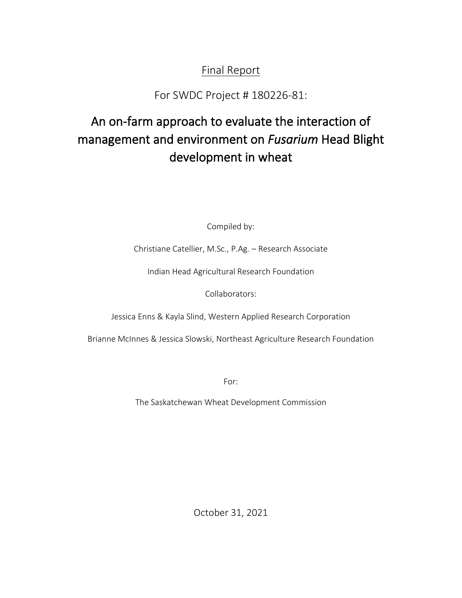# Final Report

For SWDC Project # 180226-81:

# An on-farm approach to evaluate the interaction of management and environment on *Fusarium* Head Blight development in wheat

Compiled by:

Christiane Catellier, M.Sc., P.Ag. – Research Associate

Indian Head Agricultural Research Foundation

Collaborators:

Jessica Enns & Kayla Slind, Western Applied Research Corporation

Brianne McInnes & Jessica Slowski, Northeast Agriculture Research Foundation

For:

The Saskatchewan Wheat Development Commission

October 31, 2021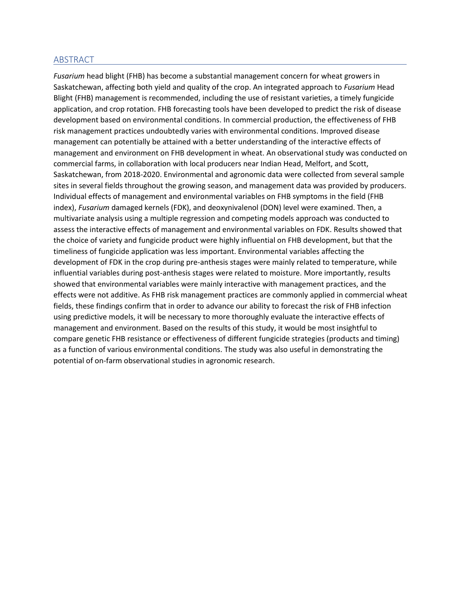#### ABSTRACT

*Fusarium* head blight (FHB) has become a substantial management concern for wheat growers in Saskatchewan, affecting both yield and quality of the crop. An integrated approach to *Fusarium* Head Blight (FHB) management is recommended, including the use of resistant varieties, a timely fungicide application, and crop rotation. FHB forecasting tools have been developed to predict the risk of disease development based on environmental conditions. In commercial production, the effectiveness of FHB risk management practices undoubtedly varies with environmental conditions. Improved disease management can potentially be attained with a better understanding of the interactive effects of management and environment on FHB development in wheat. An observational study was conducted on commercial farms, in collaboration with local producers near Indian Head, Melfort, and Scott, Saskatchewan, from 2018-2020. Environmental and agronomic data were collected from several sample sites in several fields throughout the growing season, and management data was provided by producers. Individual effects of management and environmental variables on FHB symptoms in the field (FHB index), *Fusarium* damaged kernels (FDK), and deoxynivalenol (DON) level were examined. Then, a multivariate analysis using a multiple regression and competing models approach was conducted to assess the interactive effects of management and environmental variables on FDK. Results showed that the choice of variety and fungicide product were highly influential on FHB development, but that the timeliness of fungicide application was less important. Environmental variables affecting the development of FDK in the crop during pre-anthesis stages were mainly related to temperature, while influential variables during post-anthesis stages were related to moisture. More importantly, results showed that environmental variables were mainly interactive with management practices, and the effects were not additive. As FHB risk management practices are commonly applied in commercial wheat fields, these findings confirm that in order to advance our ability to forecast the risk of FHB infection using predictive models, it will be necessary to more thoroughly evaluate the interactive effects of management and environment. Based on the results of this study, it would be most insightful to compare genetic FHB resistance or effectiveness of different fungicide strategies (products and timing) as a function of various environmental conditions. The study was also useful in demonstrating the potential of on-farm observational studies in agronomic research.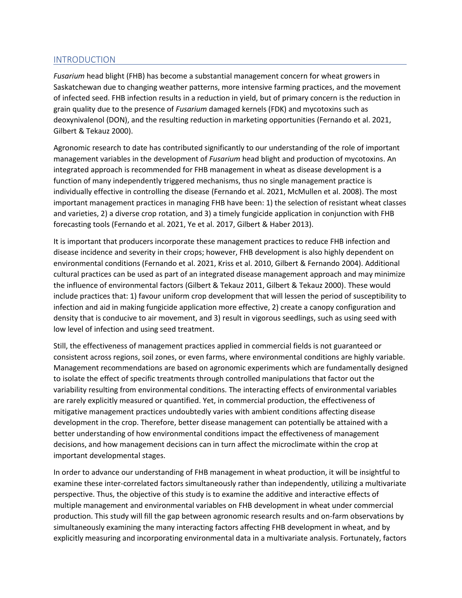#### INTRODUCTION

*Fusarium* head blight (FHB) has become a substantial management concern for wheat growers in Saskatchewan due to changing weather patterns, more intensive farming practices, and the movement of infected seed. FHB infection results in a reduction in yield, but of primary concern is the reduction in grain quality due to the presence of *Fusarium* damaged kernels (FDK) and mycotoxins such as deoxynivalenol (DON), and the resulting reduction in marketing opportunities (Fernando et al. 2021, Gilbert & Tekauz 2000).

Agronomic research to date has contributed significantly to our understanding of the role of important management variables in the development of *Fusarium* head blight and production of mycotoxins. An integrated approach is recommended for FHB management in wheat as disease development is a function of many independently triggered mechanisms, thus no single management practice is individually effective in controlling the disease (Fernando et al. 2021, McMullen et al. 2008). The most important management practices in managing FHB have been: 1) the selection of resistant wheat classes and varieties, 2) a diverse crop rotation, and 3) a timely fungicide application in conjunction with FHB forecasting tools (Fernando et al. 2021, Ye et al. 2017, Gilbert & Haber 2013).

It is important that producers incorporate these management practices to reduce FHB infection and disease incidence and severity in their crops; however, FHB development is also highly dependent on environmental conditions (Fernando et al. 2021, Kriss et al. 2010, Gilbert & Fernando 2004). Additional cultural practices can be used as part of an integrated disease management approach and may minimize the influence of environmental factors (Gilbert & Tekauz 2011, Gilbert & Tekauz 2000). These would include practices that: 1) favour uniform crop development that will lessen the period of susceptibility to infection and aid in making fungicide application more effective, 2) create a canopy configuration and density that is conducive to air movement, and 3) result in vigorous seedlings, such as using seed with low level of infection and using seed treatment.

Still, the effectiveness of management practices applied in commercial fields is not guaranteed or consistent across regions, soil zones, or even farms, where environmental conditions are highly variable. Management recommendations are based on agronomic experiments which are fundamentally designed to isolate the effect of specific treatments through controlled manipulations that factor out the variability resulting from environmental conditions. The interacting effects of environmental variables are rarely explicitly measured or quantified. Yet, in commercial production, the effectiveness of mitigative management practices undoubtedly varies with ambient conditions affecting disease development in the crop. Therefore, better disease management can potentially be attained with a better understanding of how environmental conditions impact the effectiveness of management decisions, and how management decisions can in turn affect the microclimate within the crop at important developmental stages.

In order to advance our understanding of FHB management in wheat production, it will be insightful to examine these inter-correlated factors simultaneously rather than independently, utilizing a multivariate perspective. Thus, the objective of this study is to examine the additive and interactive effects of multiple management and environmental variables on FHB development in wheat under commercial production. This study will fill the gap between agronomic research results and on-farm observations by simultaneously examining the many interacting factors affecting FHB development in wheat, and by explicitly measuring and incorporating environmental data in a multivariate analysis. Fortunately, factors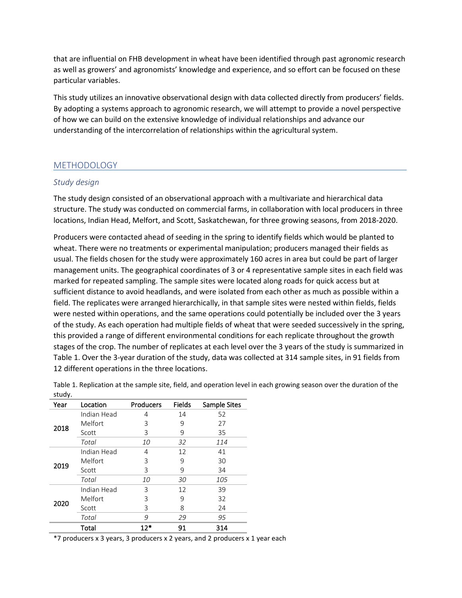that are influential on FHB development in wheat have been identified through past agronomic research as well as growers' and agronomists' knowledge and experience, and so effort can be focused on these particular variables.

This study utilizes an innovative observational design with data collected directly from producers' fields. By adopting a systems approach to agronomic research, we will attempt to provide a novel perspective of how we can build on the extensive knowledge of individual relationships and advance our understanding of the intercorrelation of relationships within the agricultural system.

#### METHODOLOGY

#### *Study design*

The study design consisted of an observational approach with a multivariate and hierarchical data structure. The study was conducted on commercial farms, in collaboration with local producers in three locations, Indian Head, Melfort, and Scott, Saskatchewan, for three growing seasons, from 2018-2020.

Producers were contacted ahead of seeding in the spring to identify fields which would be planted to wheat. There were no treatments or experimental manipulation; producers managed their fields as usual. The fields chosen for the study were approximately 160 acres in area but could be part of larger management units. The geographical coordinates of 3 or 4 representative sample sites in each field was marked for repeated sampling. The sample sites were located along roads for quick access but at sufficient distance to avoid headlands, and were isolated from each other as much as possible within a field. The replicates were arranged hierarchically, in that sample sites were nested within fields, fields were nested within operations, and the same operations could potentially be included over the 3 years of the study. As each operation had multiple fields of wheat that were seeded successively in the spring, this provided a range of different environmental conditions for each replicate throughout the growth stages of the crop. The number of replicates at each level over the 3 years of the study is summarized in [Table 1.](#page-3-0) Over the 3-year duration of the study, data was collected at 314 sample sites, in 91 fields from 12 different operations in the three locations.

| Year | Location    | Producers | Fields | Sample Sites |
|------|-------------|-----------|--------|--------------|
|      | Indian Head | 4         | 14     | 52           |
|      | Melfort     | 3         | 9      | 27           |
| 2018 | Scott       | 3         | 9      | 35           |
|      | Total       | 10        | 32     | 114          |
|      | Indian Head | 4         | 12     | 41           |
| 2019 | Melfort     | 3         | 9      | 30           |
|      | Scott       | 3         | 9      | 34           |
|      | Total       | 10        | 30     | 105          |
|      | Indian Head | 3         | 12     | 39           |
|      | Melfort     | 3         | 9      | 32           |
| 2020 | Scott       | 3         | 8      | 24           |
|      | Total       | 9         | 29     | 95           |
|      | Total       | $12*$     | 91     | 314          |

<span id="page-3-0"></span>Table 1. Replication at the sample site, field, and operation level in each growing season over the duration of the study.

\*7 producers x 3 years, 3 producers x 2 years, and 2 producers x 1 year each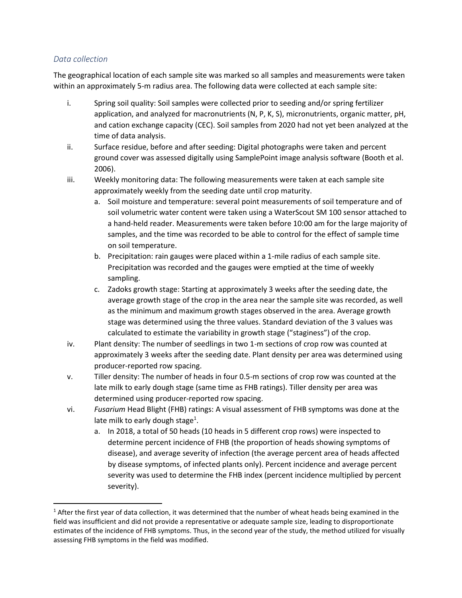### *Data collection*

The geographical location of each sample site was marked so all samples and measurements were taken within an approximately 5-m radius area. The following data were collected at each sample site:

- i. Spring soil quality: Soil samples were collected prior to seeding and/or spring fertilizer application, and analyzed for macronutrients (N, P, K, S), micronutrients, organic matter, pH, and cation exchange capacity (CEC). Soil samples from 2020 had not yet been analyzed at the time of data analysis.
- ii. Surface residue, before and after seeding: Digital photographs were taken and percent ground cover was assessed digitally using SamplePoint image analysis software (Booth et al. 2006).
- iii. Weekly monitoring data: The following measurements were taken at each sample site approximately weekly from the seeding date until crop maturity.
	- a. Soil moisture and temperature: several point measurements of soil temperature and of soil volumetric water content were taken using a WaterScout SM 100 sensor attached to a hand-held reader. Measurements were taken before 10:00 am for the large majority of samples, and the time was recorded to be able to control for the effect of sample time on soil temperature.
	- b. Precipitation: rain gauges were placed within a 1-mile radius of each sample site. Precipitation was recorded and the gauges were emptied at the time of weekly sampling.
	- c. Zadoks growth stage: Starting at approximately 3 weeks after the seeding date, the average growth stage of the crop in the area near the sample site was recorded, as well as the minimum and maximum growth stages observed in the area. Average growth stage was determined using the three values. Standard deviation of the 3 values was calculated to estimate the variability in growth stage ("staginess") of the crop.
- iv. Plant density: The number of seedlings in two 1-m sections of crop row was counted at approximately 3 weeks after the seeding date. Plant density per area was determined using producer-reported row spacing.
- v. Tiller density: The number of heads in four 0.5-m sections of crop row was counted at the late milk to early dough stage (same time as FHB ratings). Tiller density per area was determined using producer-reported row spacing.
- vi. *Fusarium* Head Blight (FHB) ratings: A visual assessment of FHB symptoms was done at the late milk to early dough stage<sup>1</sup>.
	- a. In 2018, a total of 50 heads (10 heads in 5 different crop rows) were inspected to determine percent incidence of FHB (the proportion of heads showing symptoms of disease), and average severity of infection (the average percent area of heads affected by disease symptoms, of infected plants only). Percent incidence and average percent severity was used to determine the FHB index (percent incidence multiplied by percent severity).

 $1$  After the first year of data collection, it was determined that the number of wheat heads being examined in the field was insufficient and did not provide a representative or adequate sample size, leading to disproportionate estimates of the incidence of FHB symptoms. Thus, in the second year of the study, the method utilized for visually assessing FHB symptoms in the field was modified.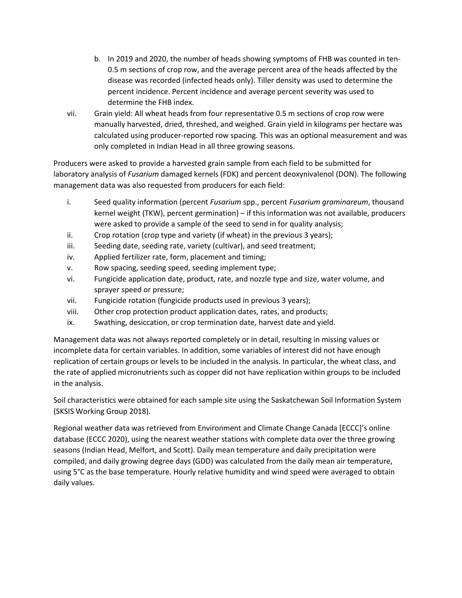- b. In 2019 and 2020, the number of heads showing symptoms of FHB was counted in ten-0.5 m sections of crop row, and the average percent area of the heads affected by the disease was recorded (infected heads only). Tiller density was used to determine the percent incidence. Percent incidence and average percent severity was used to determine the FHB index.
- vii. Grain yield: All wheat heads from four representative 0.5 m sections of crop row were manually harvested, dried, threshed, and weighed. Grain yield in kilograms per hectare was calculated using producer-reported row spacing. This was an optional measurement and was only completed in Indian Head in all three growing seasons.

Producers were asked to provide a harvested grain sample from each field to be submitted for laboratory analysis of *Fusarium* damaged kernels (FDK) and percent deoxynivalenol (DON). The following management data was also requested from producers for each field:

- i. Seed quality information (percent *Fusarium* spp., percent *Fusarium graminareum*, thousand kernel weight (TKW), percent germination) – if this information was not available, producers were asked to provide a sample of the seed to send in for quality analysis;
- ii. Crop rotation (crop type and variety (if wheat) in the previous 3 years);
- iii. Seeding date, seeding rate, variety (cultivar), and seed treatment;
- iv. Applied fertilizer rate, form, placement and timing;
- v. Row spacing, seeding speed, seeding implement type;
- vi. Fungicide application date, product, rate, and nozzle type and size, water volume, and sprayer speed or pressure;
- vii. Fungicide rotation (fungicide products used in previous 3 years);
- viii. Other crop protection product application dates, rates, and products;
- ix. Swathing, desiccation, or crop termination date, harvest date and yield.

Management data was not always reported completely or in detail, resulting in missing values or incomplete data for certain variables. In addition, some variables of interest did not have enough replication of certain groups or levels to be included in the analysis. In particular, the wheat class, and the rate of applied micronutrients such as copper did not have replication within groups to be included in the analysis.

Soil characteristics were obtained for each sample site using the Saskatchewan Soil Information System (SKSIS Working Group 2018).

Regional weather data was retrieved from Environment and Climate Change Canada [ECCC]'s online database (ECCC 2020), using the nearest weather stations with complete data over the three growing seasons (Indian Head, Melfort, and Scott). Daily mean temperature and daily precipitation were compiled, and daily growing degree days (GDD) was calculated from the daily mean air temperature, using 5°C as the base temperature. Hourly relative humidity and wind speed were averaged to obtain daily values.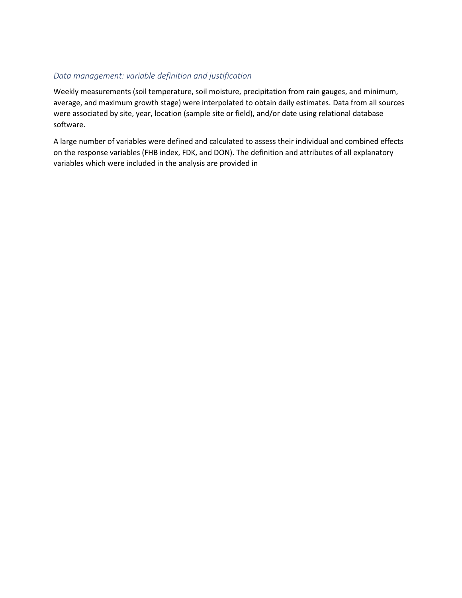# *Data management: variable definition and justification*

Weekly measurements (soil temperature, soil moisture, precipitation from rain gauges, and minimum, average, and maximum growth stage) were interpolated to obtain daily estimates. Data from all sources were associated by site, year, location (sample site or field), and/or date using relational database software.

A large number of variables were defined and calculated to assess their individual and combined effects on the response variables (FHB index, FDK, and DON). The definition and attributes of all explanatory variables which were included in the analysis are provided in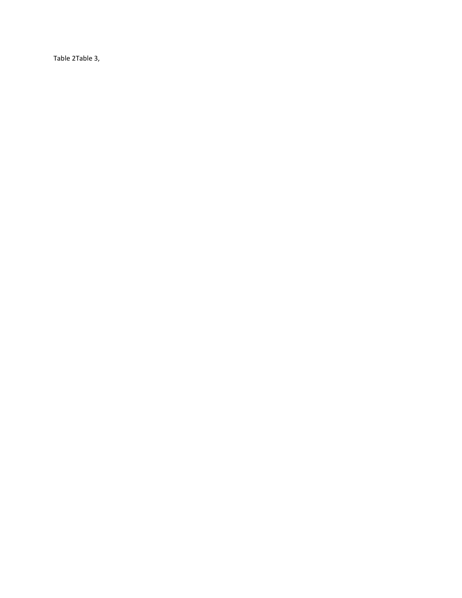[Table 2](#page-9-0)[Table 3,](#page-11-0)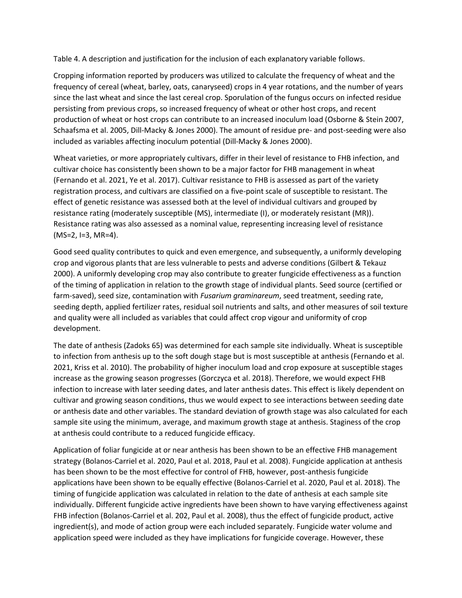[Table 4.](#page-11-1) A description and justification for the inclusion of each explanatory variable follows.

Cropping information reported by producers was utilized to calculate the frequency of wheat and the frequency of cereal (wheat, barley, oats, canaryseed) crops in 4 year rotations, and the number of years since the last wheat and since the last cereal crop. Sporulation of the fungus occurs on infected residue persisting from previous crops, so increased frequency of wheat or other host crops, and recent production of wheat or host crops can contribute to an increased inoculum load (Osborne & Stein 2007, Schaafsma et al. 2005, Dill-Macky & Jones 2000). The amount of residue pre- and post-seeding were also included as variables affecting inoculum potential (Dill-Macky & Jones 2000).

Wheat varieties, or more appropriately cultivars, differ in their level of resistance to FHB infection, and cultivar choice has consistently been shown to be a major factor for FHB management in wheat (Fernando et al. 2021, Ye et al. 2017). Cultivar resistance to FHB is assessed as part of the variety registration process, and cultivars are classified on a five-point scale of susceptible to resistant. The effect of genetic resistance was assessed both at the level of individual cultivars and grouped by resistance rating (moderately susceptible (MS), intermediate (I), or moderately resistant (MR)). Resistance rating was also assessed as a nominal value, representing increasing level of resistance  $(MS=2, I=3, MR=4)$ .

Good seed quality contributes to quick and even emergence, and subsequently, a uniformly developing crop and vigorous plants that are less vulnerable to pests and adverse conditions (Gilbert & Tekauz 2000). A uniformly developing crop may also contribute to greater fungicide effectiveness as a function of the timing of application in relation to the growth stage of individual plants. Seed source (certified or farm-saved), seed size, contamination with *Fusarium graminareum*, seed treatment, seeding rate, seeding depth, applied fertilizer rates, residual soil nutrients and salts, and other measures of soil texture and quality were all included as variables that could affect crop vigour and uniformity of crop development.

The date of anthesis (Zadoks 65) was determined for each sample site individually. Wheat is susceptible to infection from anthesis up to the soft dough stage but is most susceptible at anthesis (Fernando et al. 2021, Kriss et al. 2010). The probability of higher inoculum load and crop exposure at susceptible stages increase as the growing season progresses (Gorczyca et al. 2018). Therefore, we would expect FHB infection to increase with later seeding dates, and later anthesis dates. This effect is likely dependent on cultivar and growing season conditions, thus we would expect to see interactions between seeding date or anthesis date and other variables. The standard deviation of growth stage was also calculated for each sample site using the minimum, average, and maximum growth stage at anthesis. Staginess of the crop at anthesis could contribute to a reduced fungicide efficacy.

Application of foliar fungicide at or near anthesis has been shown to be an effective FHB management strategy (Bolanos-Carriel et al. 2020, Paul et al. 2018, Paul et al. 2008). Fungicide application at anthesis has been shown to be the most effective for control of FHB, however, post-anthesis fungicide applications have been shown to be equally effective (Bolanos-Carriel et al. 2020, Paul et al. 2018). The timing of fungicide application was calculated in relation to the date of anthesis at each sample site individually. Different fungicide active ingredients have been shown to have varying effectiveness against FHB infection (Bolanos-Carriel et al. 202, Paul et al. 2008), thus the effect of fungicide product, active ingredient(s), and mode of action group were each included separately. Fungicide water volume and application speed were included as they have implications for fungicide coverage. However, these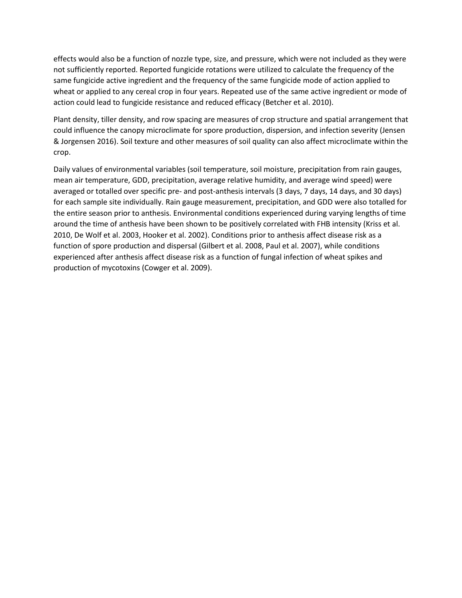effects would also be a function of nozzle type, size, and pressure, which were not included as they were not sufficiently reported. Reported fungicide rotations were utilized to calculate the frequency of the same fungicide active ingredient and the frequency of the same fungicide mode of action applied to wheat or applied to any cereal crop in four years. Repeated use of the same active ingredient or mode of action could lead to fungicide resistance and reduced efficacy (Betcher et al. 2010).

Plant density, tiller density, and row spacing are measures of crop structure and spatial arrangement that could influence the canopy microclimate for spore production, dispersion, and infection severity (Jensen & Jorgensen 2016). Soil texture and other measures of soil quality can also affect microclimate within the crop.

<span id="page-9-0"></span>Daily values of environmental variables (soil temperature, soil moisture, precipitation from rain gauges, mean air temperature, GDD, precipitation, average relative humidity, and average wind speed) were averaged or totalled over specific pre- and post-anthesis intervals (3 days, 7 days, 14 days, and 30 days) for each sample site individually. Rain gauge measurement, precipitation, and GDD were also totalled for the entire season prior to anthesis. Environmental conditions experienced during varying lengths of time around the time of anthesis have been shown to be positively correlated with FHB intensity (Kriss et al. 2010, De Wolf et al. 2003, Hooker et al. 2002). Conditions prior to anthesis affect disease risk as a function of spore production and dispersal (Gilbert et al. 2008, Paul et al. 2007), while conditions experienced after anthesis affect disease risk as a function of fungal infection of wheat spikes and production of mycotoxins (Cowger et al. 2009).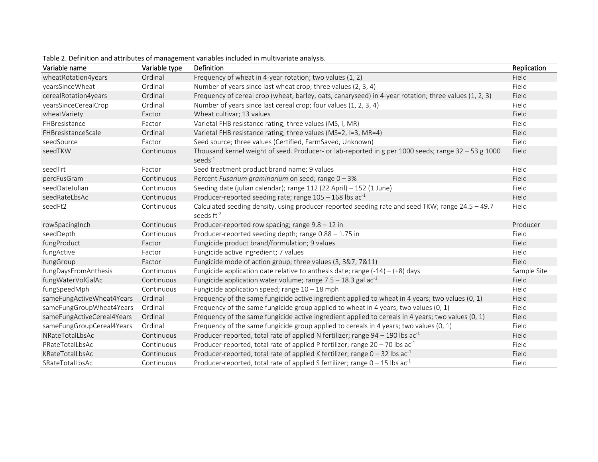| Variable name              | Variable type | Definition                                                                                                                 | Replication |
|----------------------------|---------------|----------------------------------------------------------------------------------------------------------------------------|-------------|
| wheatRotation4years        | Ordinal       | Frequency of wheat in 4-year rotation; two values (1, 2)                                                                   | Field       |
| yearsSinceWheat            | Ordinal       | Number of years since last wheat crop; three values (2, 3, 4)                                                              | Field       |
| cerealRotation4years       | Ordinal       | Frequency of cereal crop (wheat, barley, oats, canaryseed) in 4-year rotation; three values (1, 2, 3)                      | Field       |
| yearsSinceCerealCrop       | Ordinal       | Number of years since last cereal crop; four values (1, 2, 3, 4)                                                           | Field       |
| wheatVariety               | Factor        | Wheat cultivar; 13 values                                                                                                  | Field       |
| FHBresistance              | Factor        | Varietal FHB resistance rating; three values (MS, I, MR)                                                                   | Field       |
| FHBresistanceScale         | Ordinal       | Varietal FHB resistance rating; three values (MS=2, I=3, MR=4)                                                             | Field       |
| seedSource                 | Factor        | Seed source; three values (Certified, FarmSaved, Unknown)                                                                  | Field       |
| seedTKW                    | Continuous    | Thousand kernel weight of seed. Producer- or lab-reported in g per 1000 seeds; range $32 - 53$ g 1000<br>$seeds^{-1}$      | Field       |
| seedTrt                    | Factor        | Seed treatment product brand name; 9 values                                                                                | Field       |
| percFusGram                | Continuous    | Percent Fusarium graminarium on seed; range 0 - 3%                                                                         | Field       |
| seedDateJulian             | Continuous    | Seeding date (julian calendar); range 112 (22 April) - 152 (1 June)                                                        | Field       |
| seedRateLbsAc              | Continuous    | Producer-reported seeding rate; range $105 - 168$ lbs ac <sup>-1</sup>                                                     | Field       |
| seedFt2                    | Continuous    | Calculated seeding density, using producer-reported seeding rate and seed TKW; range 24.5 - 49.7<br>seeds ft <sup>-2</sup> | Field       |
| rowSpacingInch             | Continuous    | Producer-reported row spacing; range $9.8 - 12$ in                                                                         | Producer    |
| seedDepth                  | Continuous    | Producer-reported seeding depth; range 0.88 - 1.75 in                                                                      | Field       |
| fungProduct                | Factor        | Fungicide product brand/formulation; 9 values                                                                              | Field       |
| fungActive                 | Factor        | Fungicide active ingredient; 7 values                                                                                      | Field       |
| fungGroup                  | Factor        | Fungicide mode of action group; three values (3, 3&7, 7&11)                                                                | Field       |
| fungDaysFromAnthesis       | Continuous    | Fungicide application date relative to anthesis date; range $(-14) - (+8)$ days                                            | Sample Site |
| fungWaterVolGalAc          | Continuous    | Fungicide application water volume; range $7.5 - 18.3$ gal ac <sup>-1</sup>                                                | Field       |
| fungSpeedMph               | Continuous    | Fungicide application speed; range $10 - 18$ mph                                                                           | Field       |
| sameFungActiveWheat4Years  | Ordinal       | Frequency of the same fungicide active ingredient applied to wheat in 4 years; two values (0, 1)                           | Field       |
| sameFungGroupWheat4Years   | Ordinal       | Frequency of the same fungicide group applied to wheat in 4 years; two values (0, 1)                                       | Field       |
| sameFungActiveCereal4Years | Ordinal       | Frequency of the same fungicide active ingredient applied to cereals in 4 years; two values (0, 1)                         | Field       |
| sameFungGroupCereal4Years  | Ordinal       | Frequency of the same fungicide group applied to cereals in 4 years; two values (0, 1)                                     | Field       |
| NRateTotalLbsAc            | Continuous    | Producer-reported, total rate of applied N fertilizer; range 94 - 190 lbs ac <sup>-1</sup>                                 | Field       |
| PRateTotalLbsAc            | Continuous    | Producer-reported, total rate of applied P fertilizer; range $20 - 70$ lbs ac <sup>-1</sup>                                | Field       |
| KRateTotalLbsAc            | Continuous    | Producer-reported, total rate of applied K fertilizer; range $0 - 32$ lbs ac <sup>-1</sup>                                 | Field       |
| SRateTotalLbsAc            | Continuous    | Producer-reported, total rate of applied S fertilizer; range $0 - 15$ lbs ac <sup>-1</sup>                                 | Field       |

Table 2. Definition and attributes of management variables included in multivariate analysis.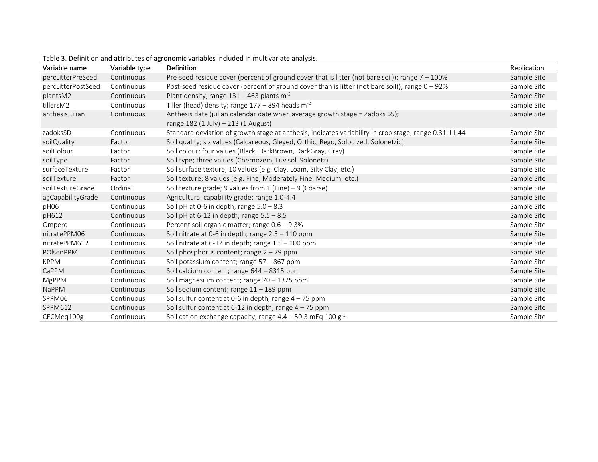<span id="page-11-1"></span><span id="page-11-0"></span>

| Variable name      | Variable type | <b>Definition</b>                                                                                                  | Replication |
|--------------------|---------------|--------------------------------------------------------------------------------------------------------------------|-------------|
| percLitterPreSeed  | Continuous    | Pre-seed residue cover (percent of ground cover that is litter (not bare soil)); range $7 - 100\%$                 | Sample Site |
| percLitterPostSeed | Continuous    | Post-seed residue cover (percent of ground cover than is litter (not bare soil)); range 0 - 92%                    | Sample Site |
| plantsM2           | Continuous    | Plant density; range $131 - 463$ plants m <sup>-2</sup>                                                            | Sample Site |
| tillersM2          | Continuous    | Tiller (head) density; range $177 - 894$ heads m <sup>-2</sup>                                                     | Sample Site |
| anthesisJulian     | Continuous    | Anthesis date (julian calendar date when average growth stage = Zadoks 65);<br>range 182 (1 July) - 213 (1 August) | Sample Site |
| zadoksSD           | Continuous    | Standard deviation of growth stage at anthesis, indicates variability in crop stage; range 0.31-11.44              | Sample Site |
| soilQuality        | Factor        | Soil quality; six values (Calcareous, Gleyed, Orthic, Rego, Solodized, Solonetzic)                                 | Sample Site |
| soilColour         | Factor        | Soil colour; four values (Black, DarkBrown, DarkGray, Gray)                                                        | Sample Site |
| soilType           | Factor        | Soil type; three values (Chernozem, Luvisol, Solonetz)                                                             | Sample Site |
| surfaceTexture     | Factor        | Soil surface texture; 10 values (e.g. Clay, Loam, Silty Clay, etc.)                                                | Sample Site |
| soilTexture        | Factor        | Soil texture; 8 values (e.g. Fine, Moderately Fine, Medium, etc.)                                                  | Sample Site |
| soilTextureGrade   | Ordinal       | Soil texture grade; 9 values from $1$ (Fine) - 9 (Coarse)                                                          | Sample Site |
| agCapabilityGrade  | Continuous    | Agricultural capability grade; range 1.0-4.4                                                                       | Sample Site |
| pH06               | Continuous    | Soil pH at 0-6 in depth; range $5.0 - 8.3$                                                                         | Sample Site |
| pH612              | Continuous    | Soil pH at $6-12$ in depth; range $5.5 - 8.5$                                                                      | Sample Site |
| Omperc             | Continuous    | Percent soil organic matter; range 0.6 - 9.3%                                                                      | Sample Site |
| nitratePPM06       | Continuous    | Soil nitrate at 0-6 in depth; range $2.5 - 110$ ppm                                                                | Sample Site |
| nitratePPM612      | Continuous    | Soil nitrate at 6-12 in depth; range $1.5 - 100$ ppm                                                               | Sample Site |
| POIsenPPM          | Continuous    | Soil phosphorus content; range 2 - 79 ppm                                                                          | Sample Site |
| <b>KPPM</b>        | Continuous    | Soil potassium content; range $57 - 867$ ppm                                                                       | Sample Site |
| CaPPM              | Continuous    | Soil calcium content; range 644 – 8315 ppm                                                                         | Sample Site |
| <b>MgPPM</b>       | Continuous    | Soil magnesium content; range 70 - 1375 ppm                                                                        | Sample Site |
| <b>NaPPM</b>       | Continuous    | Soil sodium content; range $11 - 189$ ppm                                                                          | Sample Site |
| SPPM06             | Continuous    | Soil sulfur content at 0-6 in depth; range $4 - 75$ ppm                                                            | Sample Site |
| SPPM612            | Continuous    | Soil sulfur content at 6-12 in depth; range $4 - 75$ ppm                                                           | Sample Site |
| CECMeq100g         | Continuous    | Soil cation exchange capacity; range $4.4 - 50.3$ mEq 100 g <sup>-1</sup>                                          | Sample Site |

Table 3. Definition and attributes of agronomic variables included in multivariate analysis.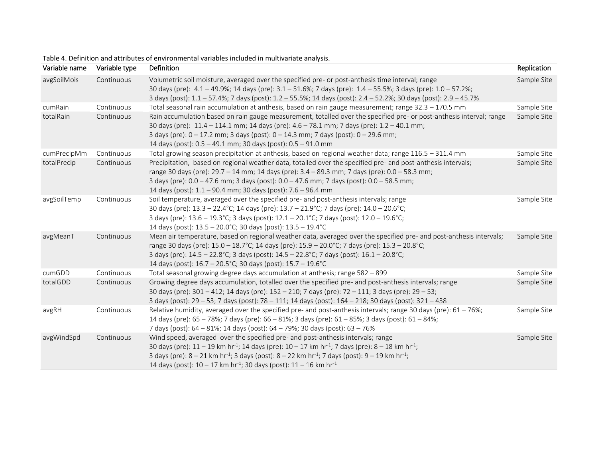| Variable name | Variable type | Definition                                                                                                                                                                                                                                                                                                                                                                                                                                                                 | Replication |
|---------------|---------------|----------------------------------------------------------------------------------------------------------------------------------------------------------------------------------------------------------------------------------------------------------------------------------------------------------------------------------------------------------------------------------------------------------------------------------------------------------------------------|-------------|
| avgSoilMois   | Continuous    | Volumetric soil moisture, averaged over the specified pre- or post-anthesis time interval; range<br>30 days (pre): 4.1 - 49.9%; 14 days (pre): 3.1 - 51.6%; 7 days (pre): 1.4 - 55.5%; 3 days (pre): 1.0 - 57.2%;<br>3 days (post): 1.1 - 57.4%; 7 days (post): 1.2 - 55.5%; 14 days (post): 2.4 - 52.2%; 30 days (post): 2.9 - 45.7%                                                                                                                                      | Sample Site |
| cumRain       | Continuous    | Total seasonal rain accumulation at anthesis, based on rain gauge measurement; range 32.3 - 170.5 mm                                                                                                                                                                                                                                                                                                                                                                       | Sample Site |
| totalRain     | Continuous    | Rain accumulation based on rain gauge measurement, totalled over the specified pre- or post-anthesis interval; range<br>30 days (pre): 11.4 - 114.1 mm; 14 days (pre): 4.6 - 78.1 mm; 7 days (pre): 1.2 - 40.1 mm;<br>3 days (pre): 0 - 17.2 mm; 3 days (post): 0 - 14.3 mm; 7 days (post): 0 - 29.6 mm;<br>14 days (post): 0.5 - 49.1 mm; 30 days (post): 0.5 - 91.0 mm                                                                                                   | Sample Site |
| cumPrecipMm   | Continuous    | Total growing season precipitation at anthesis, based on regional weather data; range 116.5 - 311.4 mm                                                                                                                                                                                                                                                                                                                                                                     | Sample Site |
| totalPrecip   | Continuous    | Precipitation, based on regional weather data, totalled over the specified pre- and post-anthesis intervals;<br>range 30 days (pre): 29.7 - 14 mm; 14 days (pre): 3.4 - 89.3 mm; 7 days (pre): 0.0 - 58.3 mm;<br>3 days (pre): 0.0 - 47.6 mm; 3 days (post): 0.0 - 47.6 mm; 7 days (post): 0.0 - 58.5 mm;<br>14 days (post): 1.1 - 90.4 mm; 30 days (post): 7.6 - 96.4 mm                                                                                                  | Sample Site |
| avgSoilTemp   | Continuous    | Soil temperature, averaged over the specified pre- and post-anthesis intervals; range<br>30 days (pre): 13.3 - 22.4°C; 14 days (pre): 13.7 - 21.9°C; 7 days (pre): 14.0 - 20.6°C;<br>3 days (pre): 13.6 - 19.3°C; 3 days (post): 12.1 - 20.1°C; 7 days (post): 12.0 - 19.6°C;<br>14 days (post): 13.5 - 20.0°C; 30 days (post): 13.5 - 19.4°C                                                                                                                              | Sample Site |
| avgMeanT      | Continuous    | Mean air temperature, based on regional weather data, averaged over the specified pre- and post-anthesis intervals;<br>range 30 days (pre): 15.0 - 18.7°C; 14 days (pre): 15.9 - 20.0°C; 7 days (pre): 15.3 - 20.8°C;<br>3 days (pre): 14.5 - 22.8°C; 3 days (post): 14.5 - 22.8°C; 7 days (post): 16.1 - 20.8°C;<br>14 days (post): 16.7 - 20.5°C; 30 days (post): 15.7 - 19.6°C                                                                                          | Sample Site |
| cumGDD        | Continuous    | Total seasonal growing degree days accumulation at anthesis; range 582 - 899                                                                                                                                                                                                                                                                                                                                                                                               | Sample Site |
| totalGDD      | Continuous    | Growing degree days accumulation, totalled over the specified pre- and post-anthesis intervals; range<br>30 days (pre): 301 - 412; 14 days (pre): 152 - 210; 7 days (pre): 72 - 111; 3 days (pre): 29 - 53;<br>3 days (post): 29 - 53; 7 days (post): 78 - 111; 14 days (post): 164 - 218; 30 days (post): 321 - 438                                                                                                                                                       | Sample Site |
| avgRH         | Continuous    | Relative humidity, averaged over the specified pre- and post-anthesis intervals; range 30 days (pre): $61 - 76\%$ ;<br>14 days (pre): 65 - 78%; 7 days (pre): 66 - 81%; 3 days (pre): 61 - 85%; 3 days (post): 61 - 84%;<br>7 days (post): 64 - 81%; 14 days (post): 64 - 79%; 30 days (post): 63 - 76%                                                                                                                                                                    | Sample Site |
| avgWindSpd    | Continuous    | Wind speed, averaged over the specified pre- and post-anthesis intervals; range<br>30 days (pre): $11 - 19$ km hr <sup>-1</sup> ; 14 days (pre): $10 - 17$ km hr <sup>-1</sup> ; 7 days (pre): $8 - 18$ km hr <sup>-1</sup> ;<br>3 days (pre): $8 - 21$ km hr <sup>-1</sup> ; 3 days (post): $8 - 22$ km hr <sup>-1</sup> ; 7 days (post): $9 - 19$ km hr <sup>-1</sup> ;<br>14 days (post): $10 - 17$ km hr <sup>-1</sup> ; 30 days (post): $11 - 16$ km hr <sup>-1</sup> | Sample Site |

# Table 4. Definition and attributes of environmental variables included in multivariate analysis.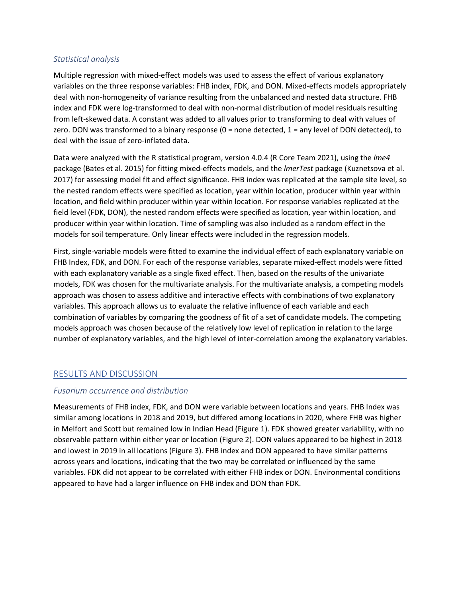#### *Statistical analysis*

Multiple regression with mixed-effect models was used to assess the effect of various explanatory variables on the three response variables: FHB index, FDK, and DON. Mixed-effects models appropriately deal with non-homogeneity of variance resulting from the unbalanced and nested data structure. FHB index and FDK were log-transformed to deal with non-normal distribution of model residuals resulting from left-skewed data. A constant was added to all values prior to transforming to deal with values of zero. DON was transformed to a binary response (0 = none detected, 1 = any level of DON detected), to deal with the issue of zero-inflated data.

Data were analyzed with the R statistical program, version 4.0.4 (R Core Team 2021), using the *lme4*  package (Bates et al. 2015) for fitting mixed-effects models, and the *lmerTest* package (Kuznetsova et al. 2017) for assessing model fit and effect significance. FHB index was replicated at the sample site level, so the nested random effects were specified as location, year within location, producer within year within location, and field within producer within year within location. For response variables replicated at the field level (FDK, DON), the nested random effects were specified as location, year within location, and producer within year within location. Time of sampling was also included as a random effect in the models for soil temperature. Only linear effects were included in the regression models.

First, single-variable models were fitted to examine the individual effect of each explanatory variable on FHB Index, FDK, and DON. For each of the response variables, separate mixed-effect models were fitted with each explanatory variable as a single fixed effect. Then, based on the results of the univariate models, FDK was chosen for the multivariate analysis. For the multivariate analysis, a competing models approach was chosen to assess additive and interactive effects with combinations of two explanatory variables. This approach allows us to evaluate the relative influence of each variable and each combination of variables by comparing the goodness of fit of a set of candidate models. The competing models approach was chosen because of the relatively low level of replication in relation to the large number of explanatory variables, and the high level of inter-correlation among the explanatory variables.

# RESULTS AND DISCUSSION

# *Fusarium occurrence and distribution*

Measurements of FHB index, FDK, and DON were variable between locations and years. FHB Index was similar among locations in 2018 and 2019, but differed among locations in 2020, where FHB was higher in Melfort and Scott but remained low in Indian Head [\(Figure 1\)](#page-14-0). FDK showed greater variability, with no observable pattern within either year or location [\(Figure 2\)](#page-14-1). DON values appeared to be highest in 2018 and lowest in 2019 in all locations [\(Figure 3\)](#page-14-2). FHB index and DON appeared to have similar patterns across years and locations, indicating that the two may be correlated or influenced by the same variables. FDK did not appear to be correlated with either FHB index or DON. Environmental conditions appeared to have had a larger influence on FHB index and DON than FDK.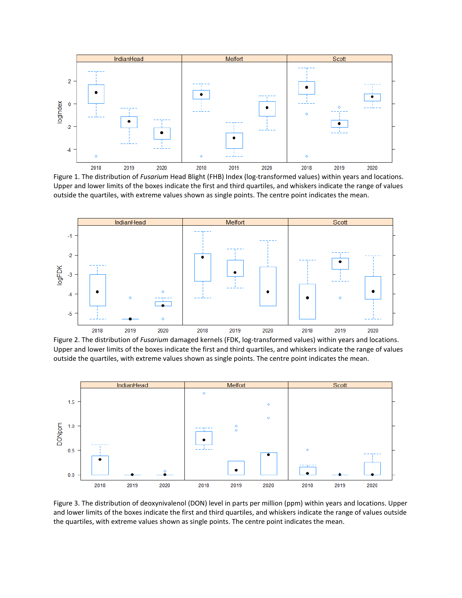

<span id="page-14-0"></span>Figure 1. The distribution of *Fusarium* Head Blight (FHB) Index (log-transformed values) within years and locations. Upper and lower limits of the boxes indicate the first and third quartiles, and whiskers indicate the range of values outside the quartiles, with extreme values shown as single points. The centre point indicates the mean.



<span id="page-14-1"></span>Figure 2. The distribution of *Fusarium* damaged kernels (FDK, log-transformed values) within years and locations. Upper and lower limits of the boxes indicate the first and third quartiles, and whiskers indicate the range of values outside the quartiles, with extreme values shown as single points. The centre point indicates the mean.



<span id="page-14-2"></span>Figure 3. The distribution of deoxynivalenol (DON) level in parts per million (ppm) within years and locations. Upper and lower limits of the boxes indicate the first and third quartiles, and whiskers indicate the range of values outside the quartiles, with extreme values shown as single points. The centre point indicates the mean.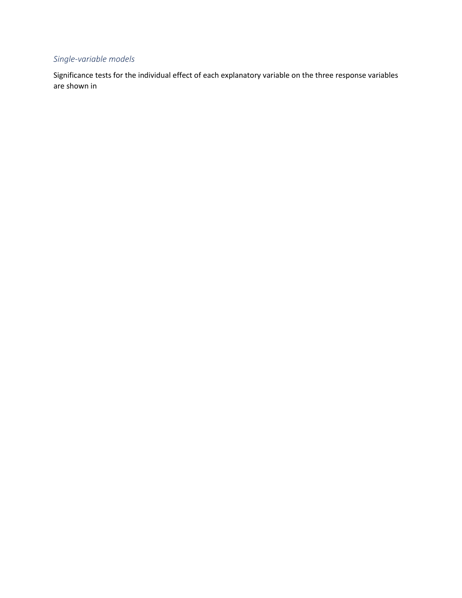# *Single-variable models*

Significance tests for the individual effect of each explanatory variable on the three response variables are shown in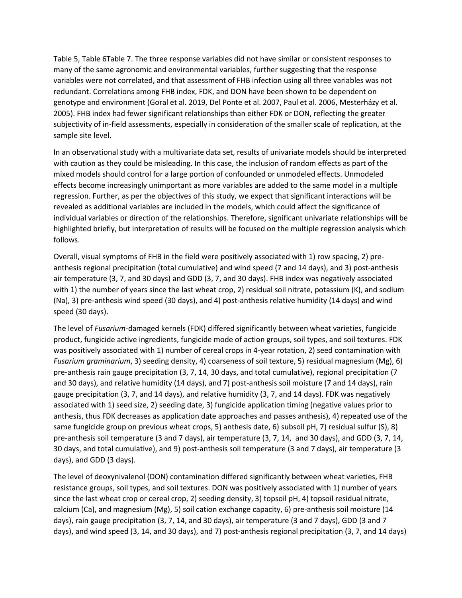[Table 5,](#page-17-0) [Table 6](#page-19-0)[Table 7.](#page-20-0) The three response variables did not have similar or consistent responses to many of the same agronomic and environmental variables, further suggesting that the response variables were not correlated, and that assessment of FHB infection using all three variables was not redundant. Correlations among FHB index, FDK, and DON have been shown to be dependent on genotype and environment (Goral et al. 2019, Del Ponte et al. 2007, Paul et al. 2006, Mesterházy et al. 2005). FHB index had fewer significant relationships than either FDK or DON, reflecting the greater subjectivity of in-field assessments, especially in consideration of the smaller scale of replication, at the sample site level.

In an observational study with a multivariate data set, results of univariate models should be interpreted with caution as they could be misleading. In this case, the inclusion of random effects as part of the mixed models should control for a large portion of confounded or unmodeled effects. Unmodeled effects become increasingly unimportant as more variables are added to the same model in a multiple regression. Further, as per the objectives of this study, we expect that significant interactions will be revealed as additional variables are included in the models, which could affect the significance of individual variables or direction of the relationships. Therefore, significant univariate relationships will be highlighted briefly, but interpretation of results will be focused on the multiple regression analysis which follows.

Overall, visual symptoms of FHB in the field were positively associated with 1) row spacing, 2) preanthesis regional precipitation (total cumulative) and wind speed (7 and 14 days), and 3) post-anthesis air temperature (3, 7, and 30 days) and GDD (3, 7, and 30 days). FHB index was negatively associated with 1) the number of years since the last wheat crop, 2) residual soil nitrate, potassium (K), and sodium (Na), 3) pre-anthesis wind speed (30 days), and 4) post-anthesis relative humidity (14 days) and wind speed (30 days).

The level of *Fusarium*-damaged kernels (FDK) differed significantly between wheat varieties, fungicide product, fungicide active ingredients, fungicide mode of action groups, soil types, and soil textures. FDK was positively associated with 1) number of cereal crops in 4-year rotation, 2) seed contamination with *Fusarium graminarium*, 3) seeding density, 4) coarseness of soil texture, 5) residual magnesium (Mg), 6) pre-anthesis rain gauge precipitation (3, 7, 14, 30 days, and total cumulative), regional precipitation (7 and 30 days), and relative humidity (14 days), and 7) post-anthesis soil moisture (7 and 14 days), rain gauge precipitation (3, 7, and 14 days), and relative humidity (3, 7, and 14 days). FDK was negatively associated with 1) seed size, 2) seeding date, 3) fungicide application timing (negative values prior to anthesis, thus FDK decreases as application date approaches and passes anthesis), 4) repeated use of the same fungicide group on previous wheat crops, 5) anthesis date, 6) subsoil pH, 7) residual sulfur (S), 8) pre-anthesis soil temperature (3 and 7 days), air temperature (3, 7, 14, and 30 days), and GDD (3, 7, 14, 30 days, and total cumulative), and 9) post-anthesis soil temperature (3 and 7 days), air temperature (3 days), and GDD (3 days).

The level of deoxynivalenol (DON) contamination differed significantly between wheat varieties, FHB resistance groups, soil types, and soil textures. DON was positively associated with 1) number of years since the last wheat crop or cereal crop, 2) seeding density, 3) topsoil pH, 4) topsoil residual nitrate, calcium (Ca), and magnesium (Mg), 5) soil cation exchange capacity, 6) pre-anthesis soil moisture (14 days), rain gauge precipitation (3, 7, 14, and 30 days), air temperature (3 and 7 days), GDD (3 and 7 days), and wind speed (3, 14, and 30 days), and 7) post-anthesis regional precipitation (3, 7, and 14 days)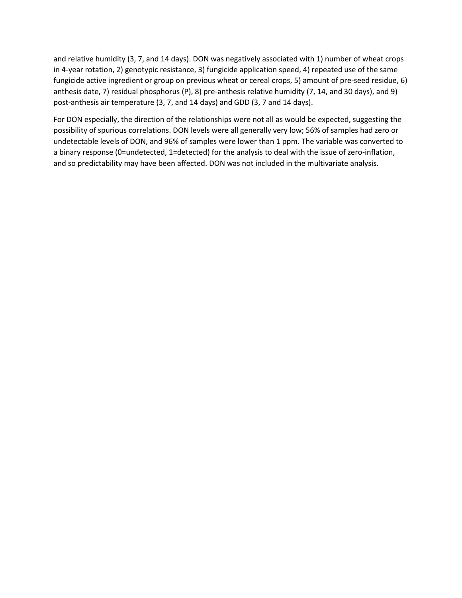and relative humidity (3, 7, and 14 days). DON was negatively associated with 1) number of wheat crops in 4-year rotation, 2) genotypic resistance, 3) fungicide application speed, 4) repeated use of the same fungicide active ingredient or group on previous wheat or cereal crops, 5) amount of pre-seed residue, 6) anthesis date, 7) residual phosphorus (P), 8) pre-anthesis relative humidity (7, 14, and 30 days), and 9) post-anthesis air temperature (3, 7, and 14 days) and GDD (3, 7 and 14 days).

<span id="page-17-0"></span>For DON especially, the direction of the relationships were not all as would be expected, suggesting the possibility of spurious correlations. DON levels were all generally very low; 56% of samples had zero or undetectable levels of DON, and 96% of samples were lower than 1 ppm. The variable was converted to a binary response (0=undetected, 1=detected) for the analysis to deal with the issue of zero-inflation, and so predictability may have been affected. DON was not included in the multivariate analysis.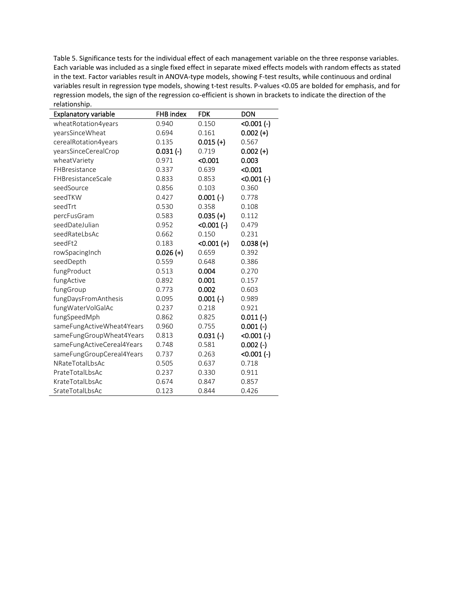Table 5. Significance tests for the individual effect of each management variable on the three response variables. Each variable was included as a single fixed effect in separate mixed effects models with random effects as stated in the text. Factor variables result in ANOVA-type models, showing F-test results, while continuous and ordinal variables result in regression type models, showing t-test results. P-values <0.05 are bolded for emphasis, and for regression models, the sign of the regression co-efficient is shown in brackets to indicate the direction of the relationship.

| <b>Explanatory variable</b> | <b>FHB</b> index | <b>FDK</b>    | <b>DON</b>   |
|-----------------------------|------------------|---------------|--------------|
| wheatRotation4years         | 0.940            | 0.150         | $<0.001$ (-) |
| yearsSinceWheat             | 0.694            | 0.161         | $0.002 (+)$  |
| cerealRotation4years        | 0.135            | $0.015 (+)$   | 0.567        |
| yearsSinceCerealCrop        | $0.031(-)$       | 0.719         | $0.002 (+)$  |
| wheatVariety                | 0.971            | < 0.001       | 0.003        |
| FHBresistance               | 0.337            | 0.639         | < 0.001      |
| FHBresistanceScale          | 0.833            | 0.853         | $<0.001(-)$  |
| seedSource                  | 0.856            | 0.103         | 0.360        |
| seedTKW                     | 0.427            | $0.001(-)$    | 0.778        |
| seedTrt                     | 0.530            | 0.358         | 0.108        |
| percFusGram                 | 0.583            | $0.035 (+)$   | 0.112        |
| seedDateJulian              | 0.952            | $<0.001(-)$   | 0.479        |
| seedRateLbsAc               | 0.662            | 0.150         | 0.231        |
| seedFt2                     | 0.183            | $< 0.001 (+)$ | $0.038 (+)$  |
| rowSpacingInch              | $0.026 (+)$      | 0.659         | 0.392        |
| seedDepth                   | 0.559            | 0.648         | 0.386        |
| fungProduct                 | 0.513            | 0.004         | 0.270        |
| fungActive                  | 0.892            | 0.001         | 0.157        |
| fungGroup                   | 0.773            | 0.002         | 0.603        |
| fungDaysFromAnthesis        | 0.095            | $0.001(-)$    | 0.989        |
| fungWaterVolGalAc           | 0.237            | 0.218         | 0.921        |
| fungSpeedMph                | 0.862            | 0.825         | $0.011(-)$   |
| sameFungActiveWheat4Years   | 0.960            | 0.755         | $0.001(-)$   |
| sameFungGroupWheat4Years    | 0.813            | $0.031(-)$    | $<0.001$ (-) |
| sameFungActiveCereal4Years  | 0.748            | 0.581         | $0.002$ (-)  |
| sameFungGroupCereal4Years   | 0.737            | 0.263         | $<0.001(-)$  |
| NRateTotalLbsAc             | 0.505            | 0.637         | 0.718        |
| PrateTotalLbsAc             | 0.237            | 0.330         | 0.911        |
| KrateTotalLbsAc             | 0.674            | 0.847         | 0.857        |
| SrateTotalLbsAc             | 0.123            | 0.844         | 0.426        |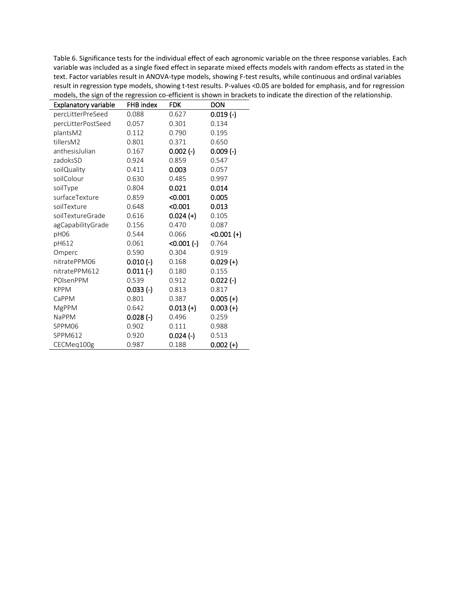<span id="page-19-0"></span>Table 6. Significance tests for the individual effect of each agronomic variable on the three response variables. Each variable was included as a single fixed effect in separate mixed effects models with random effects as stated in the text. Factor variables result in ANOVA-type models, showing F-test results, while continuous and ordinal variables result in regression type models, showing t-test results. P-values <0.05 are bolded for emphasis, and for regression models, the sign of the regression co-efficient is shown in brackets to indicate the direction of the relationship.

| <b>Explanatory variable</b> | FHB index  | <b>FDK</b>  | DON          |
|-----------------------------|------------|-------------|--------------|
| percLitterPreSeed           | 0.088      | 0.627       | $0.019(-)$   |
| percLitterPostSeed          | 0.057      | 0.301       | 0.134        |
| plantsM2                    | 0.112      | 0.790       | 0.195        |
| tillersM2                   | 0.801      | 0.371       | 0.650        |
| anthesisJulian              | 0.167      | 0.002 (-)   | $0.009$ (-)  |
| zadoksSD                    | 0.924      | 0.859       | 0.547        |
| soilQuality                 | 0.411      | 0.003       | 0.057        |
| soilColour                  | 0.630      | 0.485       | 0.997        |
| soilType                    | 0.804      | 0.021       | 0.014        |
| surfaceTexture              | 0.859      | < 0.001     | 0.005        |
| soilTexture                 | 0.648      | < 0.001     | 0.013        |
| soilTextureGrade            | 0.616      | $0.024 (+)$ | 0.105        |
| agCapabilityGrade           | 0.156      | 0.470       | 0.087        |
| pH06                        | 0.544      | 0.066       | $<0.001 (+)$ |
| pH612                       | 0.061      | $<0.001(-)$ | 0.764        |
| Omperc                      | 0.590      | 0.304       | 0.919        |
| nitratePPM06                | $0.010(-)$ | 0.168       | $0.029 (+)$  |
| nitratePPM612               | $0.011(-)$ | 0.180       | 0.155        |
| POIsenPPM                   | 0.539      | 0.912       | $0.022$ (-)  |
| <b>KPPM</b>                 | $0.033(-)$ | 0.813       | 0.817        |
| CaPPM                       | 0.801      | 0.387       | $0.005 (+)$  |
| <b>MgPPM</b>                | 0.642      | $0.013 (+)$ | $0.003 (+)$  |
| <b>NaPPM</b>                | $0.028(-)$ | 0.496       | 0.259        |
| SPPM06                      | 0.902      | 0.111       | 0.988        |
| SPPM612                     | 0.920      | $0.024$ (-) | 0.513        |
| CECMeq100g                  | 0.987      | 0.188       | $0.002 (+)$  |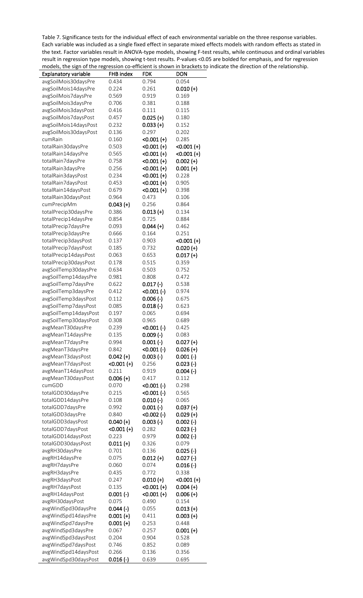<span id="page-20-0"></span>Table 7. Significance tests for the individual effect of each environmental variable on the three response variables. Each variable was included as a single fixed effect in separate mixed effects models with random effects as stated in the text. Factor variables result in ANOVA-type models, showing F-test results, while continuous and ordinal variables result in regression type models, showing t-test results. P-values <0.05 are bolded for emphasis, and for regression models, the sign of the regression co-efficient is shown in brackets to indicate the direction of the relationship.

| Explanatory variable              | FHB index           | FDK                          | <b>DON</b>                   |
|-----------------------------------|---------------------|------------------------------|------------------------------|
| avgSoilMois30daysPre              | 0.434               | 0.794                        | 0.054                        |
| avgSoilMois14daysPre              | 0.224               | 0.261                        | $0.010 (+)$                  |
| avgSoilMois7daysPre               | 0.569               | 0.919                        | 0.169                        |
| avgSoilMois3daysPre               | 0.706               | 0.381                        | 0.188                        |
| avgSoilMois3daysPost              | 0.416               | 0.111                        | 0.115                        |
| avgSoilMois7daysPost              | 0.457               | $0.025 (+)$                  | 0.180                        |
| avgSoilMois14daysPost             | 0.232               | $0.033 (+)$                  | 0.152                        |
| avgSoilMois30daysPost             | 0.136               | 0.297                        | 0.202                        |
| cumRain                           | 0.160               | $<0.001 (+)$                 | 0.285                        |
| totalRain30daysPre                | 0.503               | $< 0.001 (+)$                | $< 0.001 (+)$                |
| totalRain14daysPre                | 0.565               | $<0.001 (+)$                 | $<0.001 (+)$                 |
| totalRain7daysPre                 | 0.758               | $<0.001 (+)$                 | $0.002 (+)$                  |
| totalRain3daysPre                 | 0.256               | $<0.001 (+)$                 | $0.001 (+)$                  |
| totalRain3daysPost                | 0.234               | $<0.001 (+)$                 | 0.228                        |
| totalRain7daysPost                | 0.453               | $< 0.001 (+)$                | 0.905                        |
| totalRain14daysPost               | 0.679               | $<0.001 (+)$                 | 0.398                        |
| totalRain30daysPost               | 0.964               | 0.473                        | 0.106                        |
| cumPrecipMm                       | $0.043 (+)$         | 0.256                        | 0.864                        |
| totalPrecip30daysPre              | 0.386               | $0.013 (+)$                  | 0.134                        |
| totalPrecip14daysPre              | 0.854               | 0.725                        | 0.884                        |
| totalPrecip7daysPre               | 0.093               | $0.044 (+)$                  | 0.462                        |
| totalPrecip3daysPre               | 0.666               | 0.164                        | 0.251                        |
| totalPrecip3daysPost              | 0.137               | 0.903                        | $< 0.001 (+)$                |
| totalPrecip7daysPost              | 0.185               | 0.732                        | $0.020 (+)$                  |
| totalPrecip14daysPost             | 0.063               | 0.653                        | $0.017 (+)$                  |
| totalPrecip30daysPost             | 0.178               | 0.515                        | 0.359                        |
| avgSoilTemp30daysPre              | 0.634               | 0.503                        | 0.752                        |
| avgSoilTemp14daysPre              | 0.981               | 0.808                        | 0.472                        |
| avgSoilTemp7daysPre               | 0.622               | $0.017(-)$                   | 0.538                        |
| avgSoilTemp3daysPre               | 0.412               | $<0.001$ (-)                 | 0.974                        |
| avgSoilTemp3daysPost              | 0.112               | $0.006$ (-)                  | 0.675                        |
| avgSoilTemp7daysPost              | 0.085               | $0.018$ (-)                  | 0.623                        |
| avgSoilTemp14daysPost             | 0.197               | 0.065                        | 0.694                        |
| avgSoilTemp30daysPost             | 0.308               | 0.965                        | 0.689                        |
| avgMeanT30daysPre                 | 0.239               | $<0.001(-)$                  | 0.425                        |
| avgMeanT14daysPre                 | 0.135               | $0.009$ (-)                  | 0.083                        |
| avgMeanT7daysPre                  | 0.994               | $0.001(-)$                   | $0.027 (+)$                  |
| avgMeanT3daysPre                  | 0.842               | $<0.001(-)$                  | $0.026 (+)$                  |
| avgMeanT3daysPost                 | $0.042 (+)$         | $0.003$ (-)                  | $0.001$ (-)                  |
| avgMeanT7daysPost                 | $< 0.001 (+)$       | 0.256                        | $0.023$ (-)                  |
| avgMeanT14daysPost                | 0.211               | 0.919                        | $0.004$ (-)                  |
| avgMeanT30daysPost                | $0.006 (+)$         | 0.417                        | 0.112                        |
| cumGDD                            | 0.070               | $<0.001(-)$                  | 0.298                        |
| totalGDD30daysPre                 | 0.215               | $<0.001(-)$                  | 0.565                        |
| totalGDD14daysPre                 | 0.108               | $0.010(-)$                   | 0.065                        |
| totalGDD7daysPre                  | 0.992               | $0.001(-)$                   | $0.037 (+)$                  |
| totalGDD3daysPre                  | 0.840               | $<0.002$ (-)                 | $0.029 (+)$                  |
| totalGDD3daysPost                 | $0.040 (+)$         | $0.003$ (-)                  | $0.002$ (-)                  |
| totalGDD7daysPost                 | $< 0.001 (+)$       | 0.282                        | $0.023$ (-)                  |
| totalGDD14daysPost                | 0.223               | 0.979                        | $0.002$ (-)                  |
| totalGDD30daysPost                | $0.011 (+)$         | 0.326                        | 0.079                        |
| avgRH30daysPre                    | 0.701               | 0.136                        | $0.025$ (-)                  |
| avgRH14daysPre                    | 0.075               | $0.012 (+)$                  | $0.027(-)$                   |
| avgRH7daysPre                     | 0.060               | 0.074<br>0.772               | $0.016$ (-)<br>0.338         |
| avgRH3daysPre                     | 0.435               |                              |                              |
| avgRH3daysPost                    | 0.247               | $0.010 (+)$                  | $< 0.001 (+)$<br>$0.004 (+)$ |
| avgRH7daysPost<br>avgRH14daysPost | 0.135<br>$0.001(-)$ | $<0.001 (+)$<br>$<0.001$ (+) | $0.006 (+)$                  |
| avgRH30daysPost                   | 0.075               | 0.490                        | 0.154                        |
| avgWindSpd30daysPre               | $0.044$ (-)         | 0.055                        | $0.013 (+)$                  |
| avgWindSpd14daysPre               | $0.001 (+)$         |                              | $0.003 (+)$                  |
| avgWindSpd7daysPre                | $0.001 (+)$         | 0.411<br>0.253               | 0.448                        |
| avgWindSpd3daysPre                | 0.067               | 0.257                        | $0.001 (+)$                  |
| avgWindSpd3daysPost               | 0.204               | 0.904                        | 0.528                        |
| avgWindSpd7daysPost               | 0.746               | 0.852                        | 0.089                        |
| avgWindSpd14daysPost              | 0.266               | 0.136                        | 0.356                        |
| avgWindSpd30daysPost              | $0.016$ (-)         | 0.639                        | 0.695                        |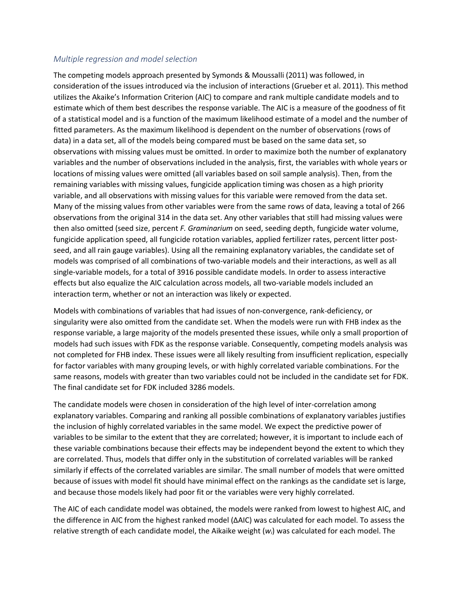#### *Multiple regression and model selection*

The competing models approach presented by Symonds & Moussalli (2011) was followed, in consideration of the issues introduced via the inclusion of interactions (Grueber et al. 2011). This method utilizes the Akaike's Information Criterion (AIC) to compare and rank multiple candidate models and to estimate which of them best describes the response variable. The AIC is a measure of the goodness of fit of a statistical model and is a function of the maximum likelihood estimate of a model and the number of fitted parameters. As the maximum likelihood is dependent on the number of observations (rows of data) in a data set, all of the models being compared must be based on the same data set, so observations with missing values must be omitted. In order to maximize both the number of explanatory variables and the number of observations included in the analysis, first, the variables with whole years or locations of missing values were omitted (all variables based on soil sample analysis). Then, from the remaining variables with missing values, fungicide application timing was chosen as a high priority variable, and all observations with missing values for this variable were removed from the data set. Many of the missing values from other variables were from the same rows of data, leaving a total of 266 observations from the original 314 in the data set. Any other variables that still had missing values were then also omitted (seed size, percent *F. Graminarium* on seed, seeding depth, fungicide water volume, fungicide application speed, all fungicide rotation variables, applied fertilizer rates, percent litter postseed, and all rain gauge variables). Using all the remaining explanatory variables, the candidate set of models was comprised of all combinations of two-variable models and their interactions, as well as all single-variable models, for a total of 3916 possible candidate models. In order to assess interactive effects but also equalize the AIC calculation across models, all two-variable models included an interaction term, whether or not an interaction was likely or expected.

Models with combinations of variables that had issues of non-convergence, rank-deficiency, or singularity were also omitted from the candidate set. When the models were run with FHB index as the response variable, a large majority of the models presented these issues, while only a small proportion of models had such issues with FDK as the response variable. Consequently, competing models analysis was not completed for FHB index. These issues were all likely resulting from insufficient replication, especially for factor variables with many grouping levels, or with highly correlated variable combinations. For the same reasons, models with greater than two variables could not be included in the candidate set for FDK. The final candidate set for FDK included 3286 models.

The candidate models were chosen in consideration of the high level of inter-correlation among explanatory variables. Comparing and ranking all possible combinations of explanatory variables justifies the inclusion of highly correlated variables in the same model. We expect the predictive power of variables to be similar to the extent that they are correlated; however, it is important to include each of these variable combinations because their effects may be independent beyond the extent to which they are correlated. Thus, models that differ only in the substitution of correlated variables will be ranked similarly if effects of the correlated variables are similar. The small number of models that were omitted because of issues with model fit should have minimal effect on the rankings as the candidate set is large, and because those models likely had poor fit or the variables were very highly correlated.

The AIC of each candidate model was obtained, the models were ranked from lowest to highest AIC, and the difference in AIC from the highest ranked model (ΔAIC) was calculated for each model. To assess the relative strength of each candidate model, the Aikaike weight (*wi*) was calculated for each model. The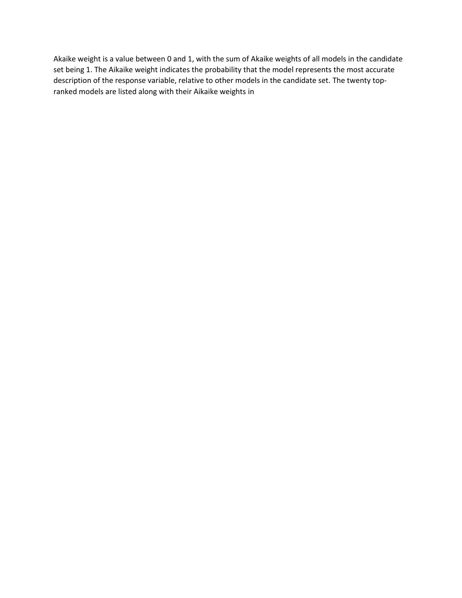Akaike weight is a value between 0 and 1, with the sum of Akaike weights of all models in the candidate set being 1. The Aikaike weight indicates the probability that the model represents the most accurate description of the response variable, relative to other models in the candidate set. The twenty topranked models are listed along with their Aikaike weights i[n](#page-23-0)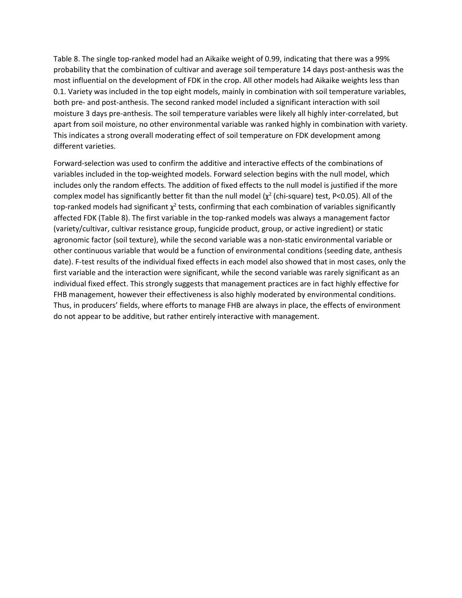[Table 8.](#page-23-0) The single top-ranked model had an Aikaike weight of 0.99, indicating that there was a 99% probability that the combination of cultivar and average soil temperature 14 days post-anthesis was the most influential on the development of FDK in the crop. All other models had Aikaike weights less than 0.1. Variety was included in the top eight models, mainly in combination with soil temperature variables, both pre- and post-anthesis. The second ranked model included a significant interaction with soil moisture 3 days pre-anthesis. The soil temperature variables were likely all highly inter-correlated, but apart from soil moisture, no other environmental variable was ranked highly in combination with variety. This indicates a strong overall moderating effect of soil temperature on FDK development among different varieties.

<span id="page-23-0"></span>Forward-selection was used to confirm the additive and interactive effects of the combinations of variables included in the top-weighted models. Forward selection begins with the null model, which includes only the random effects. The addition of fixed effects to the null model is justified if the more complex model has significantly better fit than the null model ( $\chi^2$  (chi-square) test, P<0.05). All of the top-ranked models had significant  $\chi^2$  tests, confirming that each combination of variables significantly affected FDK [\(Table 8\)](#page-24-0). The first variable in the top-ranked models was always a management factor (variety/cultivar, cultivar resistance group, fungicide product, group, or active ingredient) or static agronomic factor (soil texture), while the second variable was a non-static environmental variable or other continuous variable that would be a function of environmental conditions (seeding date, anthesis date). F-test results of the individual fixed effects in each model also showed that in most cases, only the first variable and the interaction were significant, while the second variable was rarely significant as an individual fixed effect. This strongly suggests that management practices are in fact highly effective for FHB management, however their effectiveness is also highly moderated by environmental conditions. Thus, in producers' fields, where efforts to manage FHB are always in place, the effects of environment do not appear to be additive, but rather entirely interactive with management.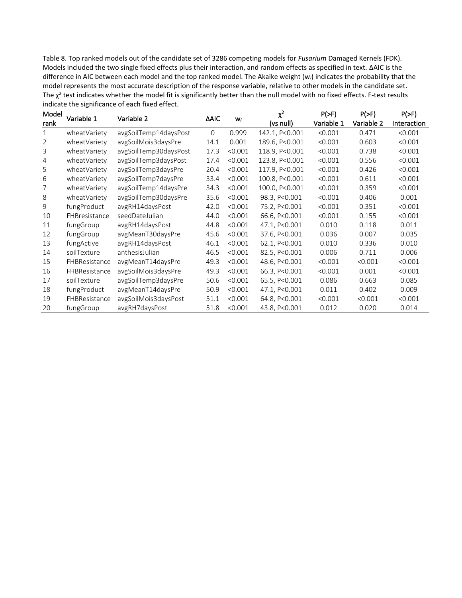<span id="page-24-0"></span>Table 8. Top ranked models out of the candidate set of 3286 competing models for *Fusarium* Damaged Kernels (FDK). Models included the two single fixed effects plus their interaction, and random effects as specified in text. ΔAIC is the difference in AIC between each model and the top ranked model. The Akaike weight (w*i*) indicates the probability that the model represents the most accurate description of the response variable, relative to other models in the candidate set. The  $\chi^2$  test indicates whether the model fit is significantly better than the null model with no fixed effects. F-test results indicate the significance of each fixed effect.

| Model | Variable 1    | Variable 2            | ΔAIC<br>Wi |         | $\chi^2$       | $P(>=F)$   | $P(>=)$    | $P(>=)$     |
|-------|---------------|-----------------------|------------|---------|----------------|------------|------------|-------------|
| rank  |               |                       |            |         | (vs null)      | Variable 1 | Variable 2 | Interaction |
| 1     | wheatVariety  | avgSoilTemp14daysPost | $\Omega$   | 0.999   | 142.1, P<0.001 | < 0.001    | 0.471      | < 0.001     |
| 2     | wheatVariety  | avgSoilMois3daysPre   | 14.1       | 0.001   | 189.6, P<0.001 | < 0.001    | 0.603      | < 0.001     |
| 3     | wheatVariety  | avgSoilTemp30daysPost | 17.3       | < 0.001 | 118.9, P<0.001 | < 0.001    | 0.738      | < 0.001     |
| 4     | wheatVariety  | avgSoilTemp3daysPost  | 17.4       | < 0.001 | 123.8, P<0.001 | < 0.001    | 0.556      | < 0.001     |
| 5     | wheatVariety  | avgSoilTemp3daysPre   | 20.4       | < 0.001 | 117.9, P<0.001 | < 0.001    | 0.426      | < 0.001     |
| 6     | wheatVariety  | avgSoilTemp7daysPre   | 33.4       | < 0.001 | 100.8, P<0.001 | < 0.001    | 0.611      | < 0.001     |
| 7     | wheatVariety  | avgSoilTemp14daysPre  | 34.3       | < 0.001 | 100.0, P<0.001 | < 0.001    | 0.359      | < 0.001     |
| 8     | wheatVariety  | avgSoilTemp30daysPre  | 35.6       | < 0.001 | 98.3, P<0.001  | < 0.001    | 0.406      | 0.001       |
| 9     | fungProduct   | avgRH14daysPost       | 42.0       | < 0.001 | 75.2, P<0.001  | < 0.001    | 0.351      | < 0.001     |
| 10    | FHBresistance | seedDateJulian        | 44.0       | < 0.001 | 66.6, P<0.001  | < 0.001    | 0.155      | < 0.001     |
| 11    | fungGroup     | avgRH14daysPost       | 44.8       | < 0.001 | 47.1, P<0.001  | 0.010      | 0.118      | 0.011       |
| 12    | fungGroup     | avgMeanT30daysPre     | 45.6       | < 0.001 | 37.6, P<0.001  | 0.036      | 0.007      | 0.035       |
| 13    | fungActive    | avgRH14daysPost       | 46.1       | < 0.001 | 62.1, P<0.001  | 0.010      | 0.336      | 0.010       |
| 14    | soilTexture   | anthesisJulian        | 46.5       | < 0.001 | 82.5, P<0.001  | 0.006      | 0.711      | 0.006       |
| 15    | FHBResistance | avgMeanT14daysPre     | 49.3       | < 0.001 | 48.6, P<0.001  | < 0.001    | < 0.001    | < 0.001     |
| 16    | FHBResistance | avgSoilMois3daysPre   | 49.3       | < 0.001 | 66.3, P<0.001  | < 0.001    | 0.001      | < 0.001     |
| 17    | soilTexture   | avgSoilTemp3daysPre   | 50.6       | < 0.001 | 65.5, P<0.001  | 0.086      | 0.663      | 0.085       |
| 18    | fungProduct   | avgMeanT14daysPre     | 50.9       | < 0.001 | 47.1, P<0.001  | 0.011      | 0.402      | 0.009       |
| 19    | FHBResistance | avgSoilMois3daysPost  | 51.1       | < 0.001 | 64.8, P<0.001  | < 0.001    | < 0.001    | < 0.001     |
| 20    | fungGroup     | avgRH7daysPost        | 51.8       | < 0.001 | 43.8, P<0.001  | 0.012      | 0.020      | 0.014       |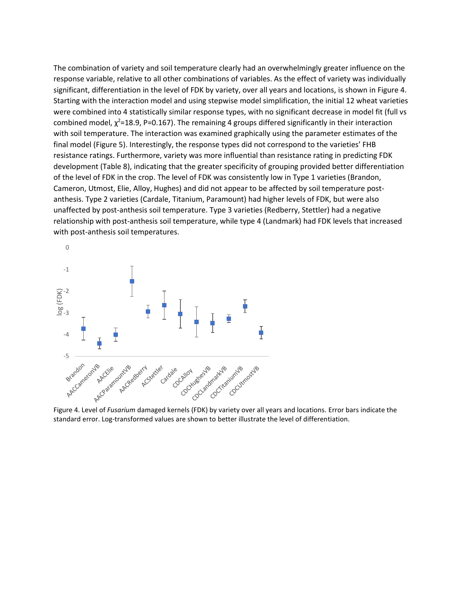The combination of variety and soil temperature clearly had an overwhelmingly greater influence on the response variable, relative to all other combinations of variables. As the effect of variety was individually significant, differentiation in the level of FDK by variety, over all years and locations, is shown i[n Figure 4.](#page-25-0) Starting with the interaction model and using stepwise model simplification, the initial 12 wheat varieties were combined into 4 statistically similar response types, with no significant decrease in model fit (full vs combined model,  $\chi^2$ =18.9, P=0.167). The remaining 4 groups differed significantly in their interaction with soil temperature. The interaction was examined graphically using the parameter estimates of the final model [\(Figure 5\)](#page-26-0). Interestingly, the response types did not correspond to the varieties' FHB resistance ratings. Furthermore, variety was more influential than resistance rating in predicting FDK development [\(Table 8\)](#page-24-0), indicating that the greater specificity of grouping provided better differentiation of the level of FDK in the crop. The level of FDK was consistently low in Type 1 varieties (Brandon, Cameron, Utmost, Elie, Alloy, Hughes) and did not appear to be affected by soil temperature postanthesis. Type 2 varieties (Cardale, Titanium, Paramount) had higher levels of FDK, but were also unaffected by post-anthesis soil temperature. Type 3 varieties (Redberry, Stettler) had a negative relationship with post-anthesis soil temperature, while type 4 (Landmark) had FDK levels that increased with post-anthesis soil temperatures.



<span id="page-25-0"></span>Figure 4. Level of *Fusarium* damaged kernels (FDK) by variety over all years and locations. Error bars indicate the standard error. Log-transformed values are shown to better illustrate the level of differentiation.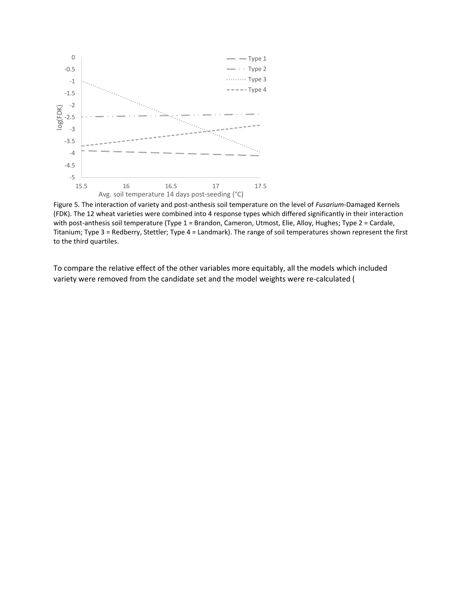

<span id="page-26-0"></span>Figure 5. The interaction of variety and post-anthesis soil temperature on the level of *Fusarium*-Damaged Kernels (FDK). The 12 wheat varieties were combined into 4 response types which differed significantly in their interaction with post-anthesis soil temperature (Type 1 = Brandon, Cameron, Utmost, Elie, Alloy, Hughes; Type 2 = Cardale, Titanium; Type 3 = Redberry, Stettler; Type 4 = Landmark). The range of soil temperatures shown represent the first to the third quartiles.

To compare the relative effect of the other variables more equitably, all the models which included variety were removed from the candidate set and the model weights were re-calculated [\(](#page-27-0)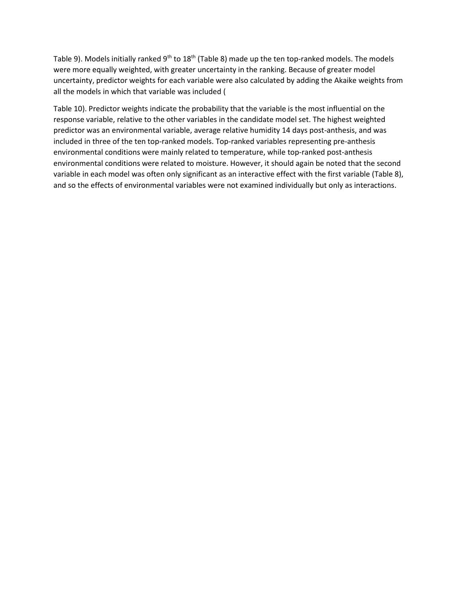[Table 9\)](#page-27-0). Models initially ranked 9<sup>th</sup> to 18<sup>th</sup> [\(Table 8\)](#page-24-0) made up the ten top-ranked models. The models were more equally weighted, with greater uncertainty in the ranking. Because of greater model uncertainty, predictor weights for each variable were also calculated by adding the Akaike weights from all the models in which that variable was included [\(](#page-28-0)

<span id="page-27-0"></span>[Table 10\)](#page-28-0). Predictor weights indicate the probability that the variable is the most influential on the response variable, relative to the other variables in the candidate model set. The highest weighted predictor was an environmental variable, average relative humidity 14 days post-anthesis, and was included in three of the ten top-ranked models. Top-ranked variables representing pre-anthesis environmental conditions were mainly related to temperature, while top-ranked post-anthesis environmental conditions were related to moisture. However, it should again be noted that the second variable in each model was often only significant as an interactive effect with the first variable [\(Table 8\)](#page-24-0), and so the effects of environmental variables were not examined individually but only as interactions.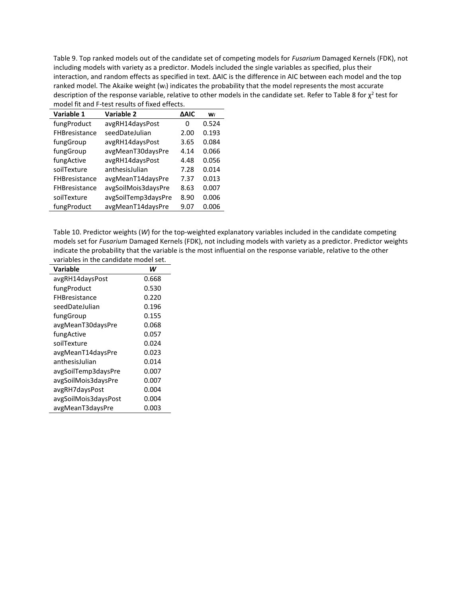Table 9. Top ranked models out of the candidate set of competing models for *Fusarium* Damaged Kernels (FDK), not including models with variety as a predictor. Models included the single variables as specified, plus their interaction, and random effects as specified in text. ΔAIC is the difference in AIC between each model and the top ranked model. The Akaike weight (w*i*) indicates the probability that the model represents the most accurate description of the response variable, relative to other models in the candidate set. Refer t[o Table 8](#page-24-0) for  $\chi^2$  test for model fit and F-test results of fixed effects. L,

| Variable 1    | Variable 2          | <b>AAIC</b> | <b>Wi</b> |
|---------------|---------------------|-------------|-----------|
| fungProduct   | avgRH14daysPost     | 0           | 0.524     |
| FHBresistance | seedDateJulian      | 2.00        | 0.193     |
| fungGroup     | avgRH14daysPost     | 3.65        | 0.084     |
| fungGroup     | avgMeanT30daysPre   | 4.14        | 0.066     |
| fungActive    | avgRH14daysPost     | 4.48        | 0.056     |
| soilTexture   | anthesisJulian      | 7.28        | 0.014     |
| FHBresistance | avgMeanT14daysPre   | 7.37        | 0.013     |
| FHBresistance | avgSoilMois3daysPre | 8.63        | 0.007     |
| soilTexture   | avgSoilTemp3daysPre | 8.90        | 0.006     |
| fungProduct   | avgMeanT14daysPre   | 9.07        | 0.006     |

<span id="page-28-1"></span><span id="page-28-0"></span>Table 10. Predictor weights (*W*) for the top-weighted explanatory variables included in the candidate competing models set for *Fusarium* Damaged Kernels (FDK), not including models with variety as a predictor. Predictor weights indicate the probability that the variable is the most influential on the response variable, relative to the other variables in the candidate model set.

| Variable             | W     |
|----------------------|-------|
| avgRH14daysPost      | 0.668 |
| fungProduct          | 0.530 |
| <b>FHBresistance</b> | 0.220 |
| seedDateJulian       | 0.196 |
| fungGroup            | 0.155 |
| avgMeanT30daysPre    | 0.068 |
| fungActive           | 0.057 |
| soilTexture          | 0.024 |
| avgMeanT14daysPre    | 0.023 |
| anthesisJulian       | 0.014 |
| avgSoilTemp3daysPre  | 0.007 |
| avgSoilMois3daysPre  | 0.007 |
| avgRH7daysPost       | 0.004 |
| avgSoilMois3daysPost | 0.004 |
| avgMeanT3daysPre     | 0.003 |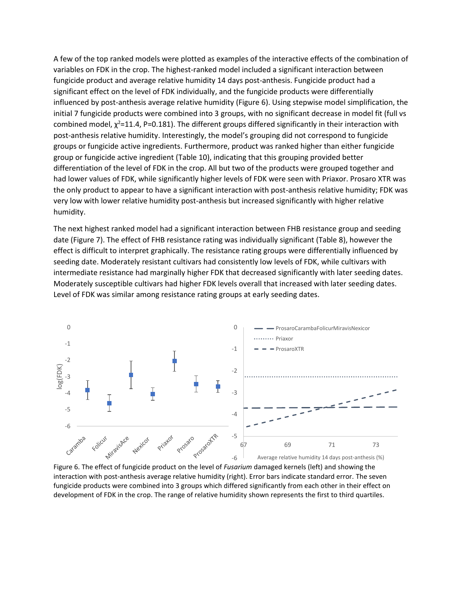A few of the top ranked models were plotted as examples of the interactive effects of the combination of variables on FDK in the crop. The highest-ranked model included a significant interaction between fungicide product and average relative humidity 14 days post-anthesis. Fungicide product had a significant effect on the level of FDK individually, and the fungicide products were differentially influenced by post-anthesis average relative humidity [\(Figure 6\)](#page-29-0). Using stepwise model simplification, the initial 7 fungicide products were combined into 3 groups, with no significant decrease in model fit (full vs combined model,  $\chi^2$ =11.4, P=0.181). The different groups differed significantly in their interaction with post-anthesis relative humidity. Interestingly, the model's grouping did not correspond to fungicide groups or fungicide active ingredients. Furthermore, product was ranked higher than either fungicide group or fungicide active ingredient [\(Table 10\)](#page-28-1), indicating that this grouping provided better differentiation of the level of FDK in the crop. All but two of the products were grouped together and had lower values of FDK, while significantly higher levels of FDK were seen with Priaxor. Prosaro XTR was the only product to appear to have a significant interaction with post-anthesis relative humidity; FDK was very low with lower relative humidity post-anthesis but increased significantly with higher relative humidity.

The next highest ranked model had a significant interaction between FHB resistance group and seeding date [\(Figure 7\)](#page-30-0). The effect of FHB resistance rating was individually significant [\(Table 8\)](#page-24-0), however the effect is difficult to interpret graphically. The resistance rating groups were differentially influenced by seeding date. Moderately resistant cultivars had consistently low levels of FDK, while cultivars with intermediate resistance had marginally higher FDK that decreased significantly with later seeding dates. Moderately susceptible cultivars had higher FDK levels overall that increased with later seeding dates. Level of FDK was similar among resistance rating groups at early seeding dates.



<span id="page-29-0"></span>Figure 6. The effect of fungicide product on the level of *Fusarium* damaged kernels (left) and showing the interaction with post-anthesis average relative humidity (right). Error bars indicate standard error. The seven fungicide products were combined into 3 groups which differed significantly from each other in their effect on development of FDK in the crop. The range of relative humidity shown represents the first to third quartiles.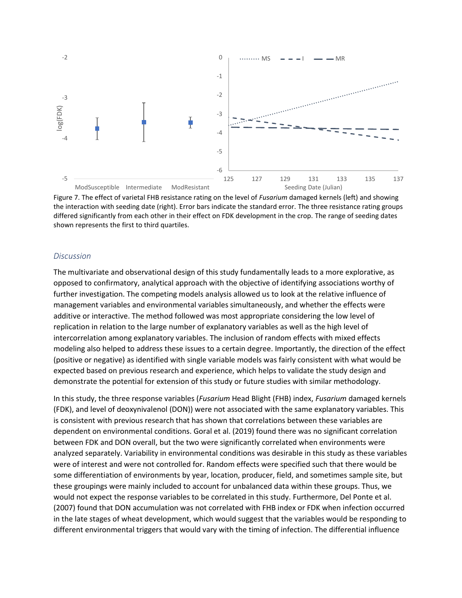

<span id="page-30-0"></span>Figure 7. The effect of varietal FHB resistance rating on the level of *Fusarium* damaged kernels (left) and showing the interaction with seeding date (right). Error bars indicate the standard error. The three resistance rating groups differed significantly from each other in their effect on FDK development in the crop. The range of seeding dates shown represents the first to third quartiles.

#### *Discussion*

The multivariate and observational design of this study fundamentally leads to a more explorative, as opposed to confirmatory, analytical approach with the objective of identifying associations worthy of further investigation. The competing models analysis allowed us to look at the relative influence of management variables and environmental variables simultaneously, and whether the effects were additive or interactive. The method followed was most appropriate considering the low level of replication in relation to the large number of explanatory variables as well as the high level of intercorrelation among explanatory variables. The inclusion of random effects with mixed effects modeling also helped to address these issues to a certain degree. Importantly, the direction of the effect (positive or negative) as identified with single variable models was fairly consistent with what would be expected based on previous research and experience, which helps to validate the study design and demonstrate the potential for extension of this study or future studies with similar methodology.

In this study, the three response variables (*Fusarium* Head Blight (FHB) index, *Fusarium* damaged kernels (FDK), and level of deoxynivalenol (DON)) were not associated with the same explanatory variables. This is consistent with previous research that has shown that correlations between these variables are dependent on environmental conditions. Goral et al. (2019) found there was no significant correlation between FDK and DON overall, but the two were significantly correlated when environments were analyzed separately. Variability in environmental conditions was desirable in this study as these variables were of interest and were not controlled for. Random effects were specified such that there would be some differentiation of environments by year, location, producer, field, and sometimes sample site, but these groupings were mainly included to account for unbalanced data within these groups. Thus, we would not expect the response variables to be correlated in this study. Furthermore, Del Ponte et al. (2007) found that DON accumulation was not correlated with FHB index or FDK when infection occurred in the late stages of wheat development, which would suggest that the variables would be responding to different environmental triggers that would vary with the timing of infection. The differential influence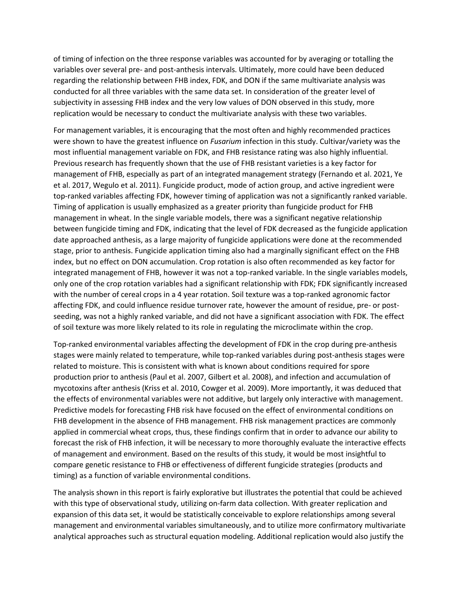of timing of infection on the three response variables was accounted for by averaging or totalling the variables over several pre- and post-anthesis intervals. Ultimately, more could have been deduced regarding the relationship between FHB index, FDK, and DON if the same multivariate analysis was conducted for all three variables with the same data set. In consideration of the greater level of subjectivity in assessing FHB index and the very low values of DON observed in this study, more replication would be necessary to conduct the multivariate analysis with these two variables.

For management variables, it is encouraging that the most often and highly recommended practices were shown to have the greatest influence on *Fusarium* infection in this study. Cultivar/variety was the most influential management variable on FDK, and FHB resistance rating was also highly influential. Previous research has frequently shown that the use of FHB resistant varieties is a key factor for management of FHB, especially as part of an integrated management strategy (Fernando et al. 2021, Ye et al. 2017, Wegulo et al. 2011). Fungicide product, mode of action group, and active ingredient were top-ranked variables affecting FDK, however timing of application was not a significantly ranked variable. Timing of application is usually emphasized as a greater priority than fungicide product for FHB management in wheat. In the single variable models, there was a significant negative relationship between fungicide timing and FDK, indicating that the level of FDK decreased as the fungicide application date approached anthesis, as a large majority of fungicide applications were done at the recommended stage, prior to anthesis. Fungicide application timing also had a marginally significant effect on the FHB index, but no effect on DON accumulation. Crop rotation is also often recommended as key factor for integrated management of FHB, however it was not a top-ranked variable. In the single variables models, only one of the crop rotation variables had a significant relationship with FDK; FDK significantly increased with the number of cereal crops in a 4 year rotation. Soil texture was a top-ranked agronomic factor affecting FDK, and could influence residue turnover rate, however the amount of residue, pre- or postseeding, was not a highly ranked variable, and did not have a significant association with FDK. The effect of soil texture was more likely related to its role in regulating the microclimate within the crop.

Top-ranked environmental variables affecting the development of FDK in the crop during pre-anthesis stages were mainly related to temperature, while top-ranked variables during post-anthesis stages were related to moisture. This is consistent with what is known about conditions required for spore production prior to anthesis (Paul et al. 2007, Gilbert et al. 2008), and infection and accumulation of mycotoxins after anthesis (Kriss et al. 2010, Cowger et al. 2009). More importantly, it was deduced that the effects of environmental variables were not additive, but largely only interactive with management. Predictive models for forecasting FHB risk have focused on the effect of environmental conditions on FHB development in the absence of FHB management. FHB risk management practices are commonly applied in commercial wheat crops, thus, these findings confirm that in order to advance our ability to forecast the risk of FHB infection, it will be necessary to more thoroughly evaluate the interactive effects of management and environment. Based on the results of this study, it would be most insightful to compare genetic resistance to FHB or effectiveness of different fungicide strategies (products and timing) as a function of variable environmental conditions.

The analysis shown in this report is fairly explorative but illustrates the potential that could be achieved with this type of observational study, utilizing on-farm data collection. With greater replication and expansion of this data set, it would be statistically conceivable to explore relationships among several management and environmental variables simultaneously, and to utilize more confirmatory multivariate analytical approaches such as structural equation modeling. Additional replication would also justify the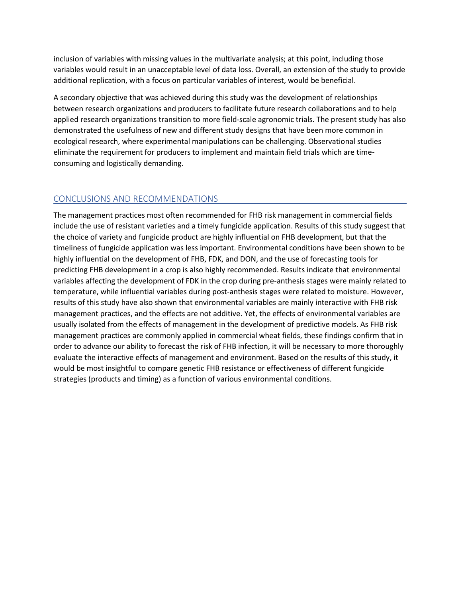inclusion of variables with missing values in the multivariate analysis; at this point, including those variables would result in an unacceptable level of data loss. Overall, an extension of the study to provide additional replication, with a focus on particular variables of interest, would be beneficial.

A secondary objective that was achieved during this study was the development of relationships between research organizations and producers to facilitate future research collaborations and to help applied research organizations transition to more field-scale agronomic trials. The present study has also demonstrated the usefulness of new and different study designs that have been more common in ecological research, where experimental manipulations can be challenging. Observational studies eliminate the requirement for producers to implement and maintain field trials which are timeconsuming and logistically demanding.

# CONCLUSIONS AND RECOMMENDATIONS

The management practices most often recommended for FHB risk management in commercial fields include the use of resistant varieties and a timely fungicide application. Results of this study suggest that the choice of variety and fungicide product are highly influential on FHB development, but that the timeliness of fungicide application was less important. Environmental conditions have been shown to be highly influential on the development of FHB, FDK, and DON, and the use of forecasting tools for predicting FHB development in a crop is also highly recommended. Results indicate that environmental variables affecting the development of FDK in the crop during pre-anthesis stages were mainly related to temperature, while influential variables during post-anthesis stages were related to moisture. However, results of this study have also shown that environmental variables are mainly interactive with FHB risk management practices, and the effects are not additive. Yet, the effects of environmental variables are usually isolated from the effects of management in the development of predictive models. As FHB risk management practices are commonly applied in commercial wheat fields, these findings confirm that in order to advance our ability to forecast the risk of FHB infection, it will be necessary to more thoroughly evaluate the interactive effects of management and environment. Based on the results of this study, it would be most insightful to compare genetic FHB resistance or effectiveness of different fungicide strategies (products and timing) as a function of various environmental conditions.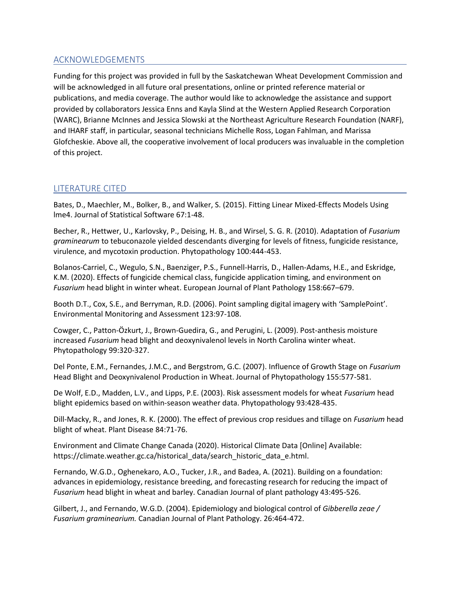# ACKNOWLEDGEMENTS

Funding for this project was provided in full by the Saskatchewan Wheat Development Commission and will be acknowledged in all future oral presentations, online or printed reference material or publications, and media coverage. The author would like to acknowledge the assistance and support provided by collaborators Jessica Enns and Kayla Slind at the Western Applied Research Corporation (WARC), Brianne McInnes and Jessica Slowski at the Northeast Agriculture Research Foundation (NARF), and IHARF staff, in particular, seasonal technicians Michelle Ross, Logan Fahlman, and Marissa Glofcheskie. Above all, the cooperative involvement of local producers was invaluable in the completion of this project.

# LITERATURE CITED

Bates, D., Maechler, M., Bolker, B., and Walker, S. (2015). Fitting Linear Mixed-Effects Models Using lme4. Journal of Statistical Software 67:1-48.

Becher, R., Hettwer, U., Karlovsky, P., Deising, H. B., and Wirsel, S. G. R. (2010). Adaptation of *Fusarium graminearum* to tebuconazole yielded descendants diverging for levels of fitness, fungicide resistance, virulence, and mycotoxin production. Phytopathology 100:444-453.

Bolanos-Carriel, C., Wegulo, S.N., Baenziger, P.S., Funnell-Harris, D., Hallen-Adams, H.E., and Eskridge, K.M. (2020). Effects of fungicide chemical class, fungicide application timing, and environment on *Fusarium* head blight in winter wheat. European Journal of Plant Pathology 158:667–679.

Booth D.T., Cox, S.E., and Berryman, R.D. (2006). Point sampling digital imagery with 'SamplePoint'. Environmental Monitoring and Assessment 123:97-108.

Cowger, C., Patton-Özkurt, J., Brown-Guedira, G., and Perugini, L. (2009). Post-anthesis moisture increased *Fusarium* head blight and deoxynivalenol levels in North Carolina winter wheat. Phytopathology 99:320-327.

Del Ponte, E.M., Fernandes, J.M.C., and Bergstrom, G.C. (2007). Influence of Growth Stage on *Fusarium* Head Blight and Deoxynivalenol Production in Wheat. Journal of Phytopathology 155:577-581.

De Wolf, E.D., Madden, L.V., and Lipps, P.E. (2003). Risk assessment models for wheat *Fusarium* head blight epidemics based on within-season weather data. Phytopathology 93:428-435.

Dill-Macky, R., and Jones, R. K. (2000). The effect of previous crop residues and tillage on *Fusarium* head blight of wheat. Plant Disease 84:71-76.

Environment and Climate Change Canada (2020). Historical Climate Data [Online] Available: https://climate.weather.gc.ca/historical\_data/search\_historic\_data\_e.html.

Fernando, W.G.D., Oghenekaro, A.O., Tucker, J.R., and Badea, A. (2021). Building on a foundation: advances in epidemiology, resistance breeding, and forecasting research for reducing the impact of *Fusarium* head blight in wheat and barley. Canadian Journal of plant pathology 43:495-526.

Gilbert, J., and Fernando, W.G.D. (2004). Epidemiology and biological control of *Gibberella zeae / Fusarium graminearium.* Canadian Journal of Plant Pathology. 26:464-472.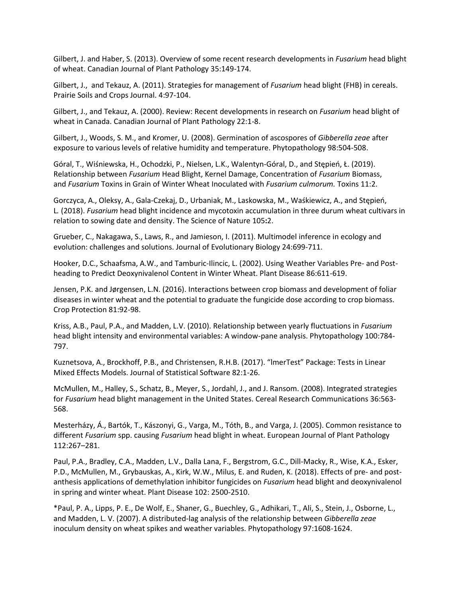Gilbert, J. and Haber, S. (2013). Overview of some recent research developments in *Fusarium* head blight of wheat. Canadian Journal of Plant Pathology 35:149-174.

Gilbert, J., and Tekauz, A. (2011). Strategies for management of *Fusarium* head blight (FHB) in cereals. Prairie Soils and Crops Journal. 4:97-104.

Gilbert, J., and Tekauz, A. (2000). Review: Recent developments in research on *Fusarium* head blight of wheat in Canada. Canadian Journal of Plant Pathology 22:1-8.

Gilbert, J., Woods, S. M., and Kromer, U. (2008). Germination of ascospores of *Gibberella zeae* after exposure to various levels of relative humidity and temperature. Phytopathology 98:504-508.

Góral, T., Wiśniewska, H., Ochodzki, P., Nielsen, L.K., Walentyn-Góral, D., and Stępień, Ł. (2019). Relationship between *Fusarium* Head Blight, Kernel Damage, Concentration of *Fusarium* Biomass, and *Fusarium* Toxins in Grain of Winter Wheat Inoculated with *Fusarium culmorum.* Toxins 11:2.

Gorczyca, A., Oleksy, A., Gala-Czekaj, D., Urbaniak, M., Laskowska, M., Waśkiewicz, A., and Stępień, L*.* (2018). *Fusarium* head blight incidence and mycotoxin accumulation in three durum wheat cultivars in relation to sowing date and density. The Science of Nature 105**:**2.

Grueber, C., Nakagawa, S., Laws, R., and Jamieson, I. (2011). Multimodel inference in ecology and evolution: challenges and solutions. Journal of Evolutionary Biology 24:699-711.

Hooker, D.C., Schaafsma, A.W., and Tamburic-Ilincic, L. (2002). Using Weather Variables Pre- and Postheading to Predict Deoxynivalenol Content in Winter Wheat. Plant Disease 86:611-619.

Jensen, P.K. and Jørgensen, L.N. (2016). Interactions between crop biomass and development of foliar diseases in winter wheat and the potential to graduate the fungicide dose according to crop biomass. Crop Protection 81:92-98.

Kriss, A.B., Paul, P.A., and Madden, L.V. (2010). Relationship between yearly fluctuations in *Fusarium* head blight intensity and environmental variables: A window-pane analysis. Phytopathology 100:784- 797.

Kuznetsova, A., Brockhoff, P.B., and Christensen, R.H.B. (2017). "lmerTest" Package: Tests in Linear Mixed Effects Models. Journal of Statistical Software 82:1-26.

McMullen, M., Halley, S., Schatz, B., Meyer, S., Jordahl, J., and J. Ransom. (2008). Integrated strategies for *Fusarium* head blight management in the United States. Cereal Research Communications 36:563- 568.

Mesterházy, Á., Bartók, T., Kászonyi, G., Varga, M., Tóth, B., and Varga, J. (2005). Common resistance to different *Fusarium* spp. causing *Fusarium* head blight in wheat. European Journal of Plant Pathology 112:267–281.

Paul, P.A., Bradley, C.A., Madden, L.V., Dalla Lana, F., Bergstrom, G.C., Dill-Macky, R., Wise, K.A., Esker, P.D., McMullen, M., Grybauskas, A., Kirk, W.W., Milus, E. and Ruden, K. (2018). Effects of pre- and postanthesis applications of demethylation inhibitor fungicides on *Fusarium* head blight and deoxynivalenol in spring and winter wheat. Plant Disease 102: 2500-2510.

\*Paul, P. A., Lipps, P. E., De Wolf, E., Shaner, G., Buechley, G., Adhikari, T., Ali, S., Stein, J., Osborne, L., and Madden, L. V. (2007). A distributed-lag analysis of the relationship between *Gibberella zeae* inoculum density on wheat spikes and weather variables. Phytopathology 97:1608-1624.